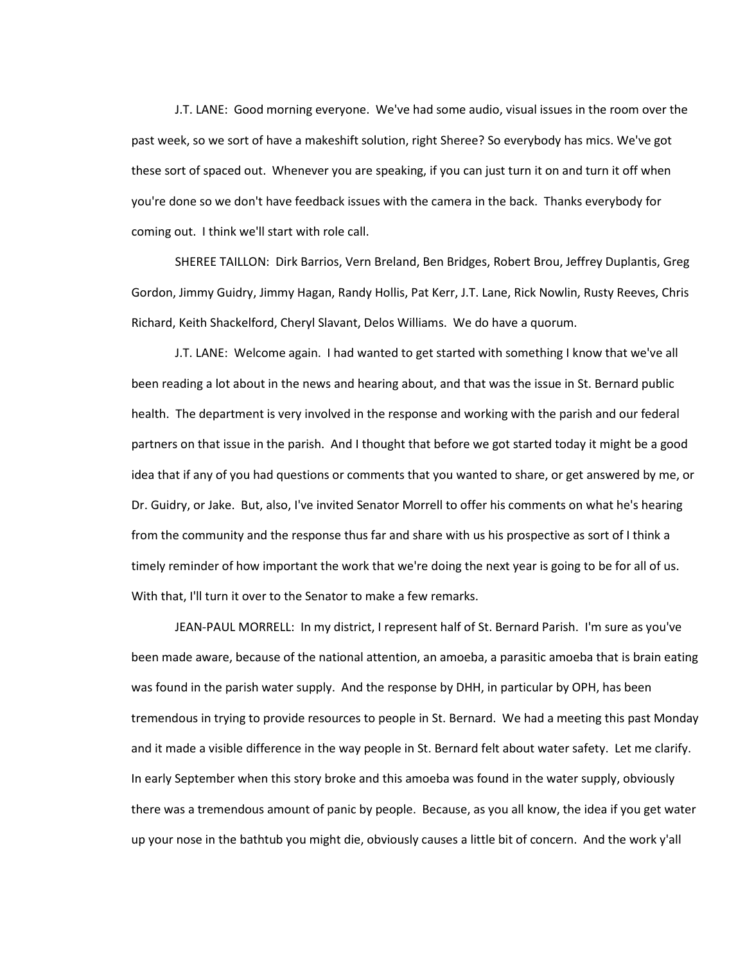J.T. LANE: Good morning everyone. We've had some audio, visual issues in the room over the past week, so we sort of have a makeshift solution, right Sheree? So everybody has mics. We've got these sort of spaced out. Whenever you are speaking, if you can just turn it on and turn it off when you're done so we don't have feedback issues with the camera in the back. Thanks everybody for coming out. I think we'll start with role call.

SHEREE TAILLON: Dirk Barrios, Vern Breland, Ben Bridges, Robert Brou, Jeffrey Duplantis, Greg Gordon, Jimmy Guidry, Jimmy Hagan, Randy Hollis, Pat Kerr, J.T. Lane, Rick Nowlin, Rusty Reeves, Chris Richard, Keith Shackelford, Cheryl Slavant, Delos Williams. We do have a quorum.

J.T. LANE: Welcome again. I had wanted to get started with something I know that we've all been reading a lot about in the news and hearing about, and that was the issue in St. Bernard public health. The department is very involved in the response and working with the parish and our federal partners on that issue in the parish. And I thought that before we got started today it might be a good idea that if any of you had questions or comments that you wanted to share, or get answered by me, or Dr. Guidry, or Jake. But, also, I've invited Senator Morrell to offer his comments on what he's hearing from the community and the response thus far and share with us his prospective as sort of I think a timely reminder of how important the work that we're doing the next year is going to be for all of us. With that, I'll turn it over to the Senator to make a few remarks.

JEAN-PAUL MORRELL: In my district, I represent half of St. Bernard Parish. I'm sure as you've been made aware, because of the national attention, an amoeba, a parasitic amoeba that is brain eating was found in the parish water supply. And the response by DHH, in particular by OPH, has been tremendous in trying to provide resources to people in St. Bernard. We had a meeting this past Monday and it made a visible difference in the way people in St. Bernard felt about water safety. Let me clarify. In early September when this story broke and this amoeba was found in the water supply, obviously there was a tremendous amount of panic by people. Because, as you all know, the idea if you get water up your nose in the bathtub you might die, obviously causes a little bit of concern. And the work y'all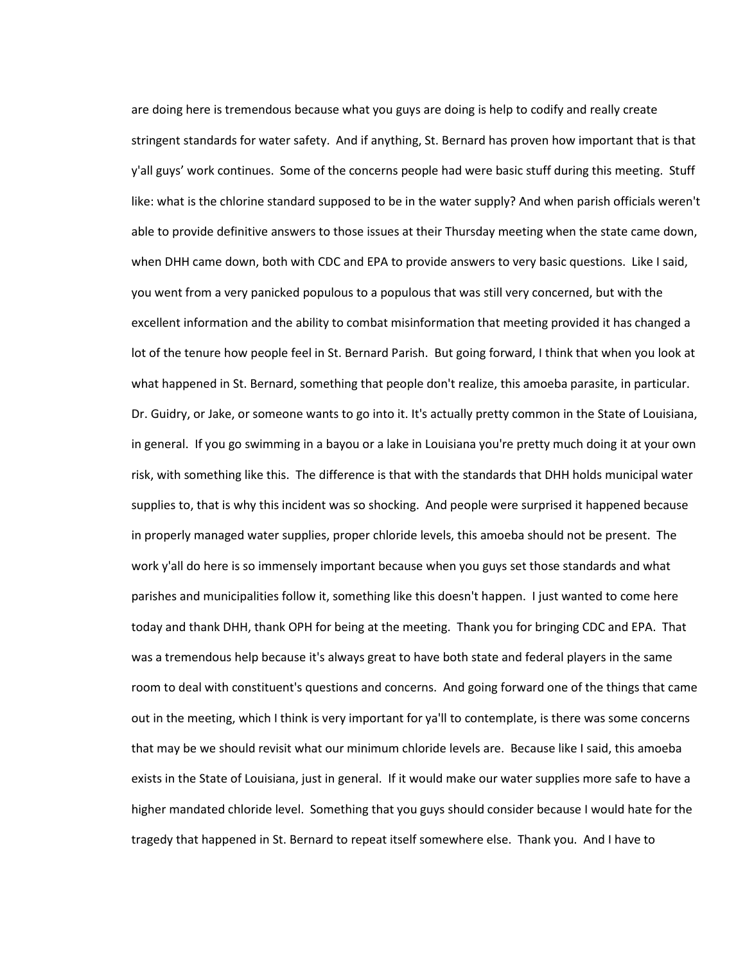are doing here is tremendous because what you guys are doing is help to codify and really create stringent standards for water safety. And if anything, St. Bernard has proven how important that is that y'all guys' work continues. Some of the concerns people had were basic stuff during this meeting. Stuff like: what is the chlorine standard supposed to be in the water supply? And when parish officials weren't able to provide definitive answers to those issues at their Thursday meeting when the state came down, when DHH came down, both with CDC and EPA to provide answers to very basic questions. Like I said, you went from a very panicked populous to a populous that was still very concerned, but with the excellent information and the ability to combat misinformation that meeting provided it has changed a lot of the tenure how people feel in St. Bernard Parish. But going forward, I think that when you look at what happened in St. Bernard, something that people don't realize, this amoeba parasite, in particular. Dr. Guidry, or Jake, or someone wants to go into it. It's actually pretty common in the State of Louisiana, in general. If you go swimming in a bayou or a lake in Louisiana you're pretty much doing it at your own risk, with something like this. The difference is that with the standards that DHH holds municipal water supplies to, that is why this incident was so shocking. And people were surprised it happened because in properly managed water supplies, proper chloride levels, this amoeba should not be present. The work y'all do here is so immensely important because when you guys set those standards and what parishes and municipalities follow it, something like this doesn't happen. I just wanted to come here today and thank DHH, thank OPH for being at the meeting. Thank you for bringing CDC and EPA. That was a tremendous help because it's always great to have both state and federal players in the same room to deal with constituent's questions and concerns. And going forward one of the things that came out in the meeting, which I think is very important for ya'll to contemplate, is there was some concerns that may be we should revisit what our minimum chloride levels are. Because like I said, this amoeba exists in the State of Louisiana, just in general. If it would make our water supplies more safe to have a higher mandated chloride level. Something that you guys should consider because I would hate for the tragedy that happened in St. Bernard to repeat itself somewhere else. Thank you. And I have to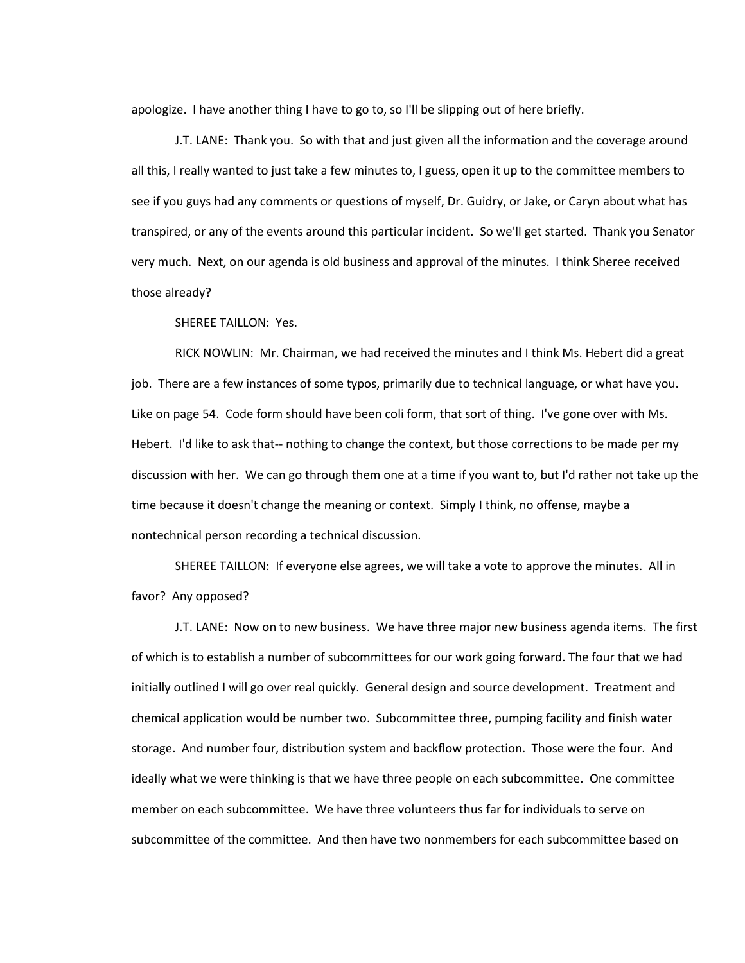apologize. I have another thing I have to go to, so I'll be slipping out of here briefly.

J.T. LANE: Thank you. So with that and just given all the information and the coverage around all this, I really wanted to just take a few minutes to, I guess, open it up to the committee members to see if you guys had any comments or questions of myself, Dr. Guidry, or Jake, or Caryn about what has transpired, or any of the events around this particular incident. So we'll get started. Thank you Senator very much. Next, on our agenda is old business and approval of the minutes. I think Sheree received those already?

SHEREE TAILLON: Yes.

RICK NOWLIN: Mr. Chairman, we had received the minutes and I think Ms. Hebert did a great job. There are a few instances of some typos, primarily due to technical language, or what have you. Like on page 54. Code form should have been coli form, that sort of thing. I've gone over with Ms. Hebert. I'd like to ask that-- nothing to change the context, but those corrections to be made per my discussion with her. We can go through them one at a time if you want to, but I'd rather not take up the time because it doesn't change the meaning or context. Simply I think, no offense, maybe a nontechnical person recording a technical discussion.

SHEREE TAILLON: If everyone else agrees, we will take a vote to approve the minutes. All in favor? Any opposed?

J.T. LANE: Now on to new business. We have three major new business agenda items. The first of which is to establish a number of subcommittees for our work going forward. The four that we had initially outlined I will go over real quickly. General design and source development. Treatment and chemical application would be number two. Subcommittee three, pumping facility and finish water storage. And number four, distribution system and backflow protection. Those were the four. And ideally what we were thinking is that we have three people on each subcommittee. One committee member on each subcommittee. We have three volunteers thus far for individuals to serve on subcommittee of the committee. And then have two nonmembers for each subcommittee based on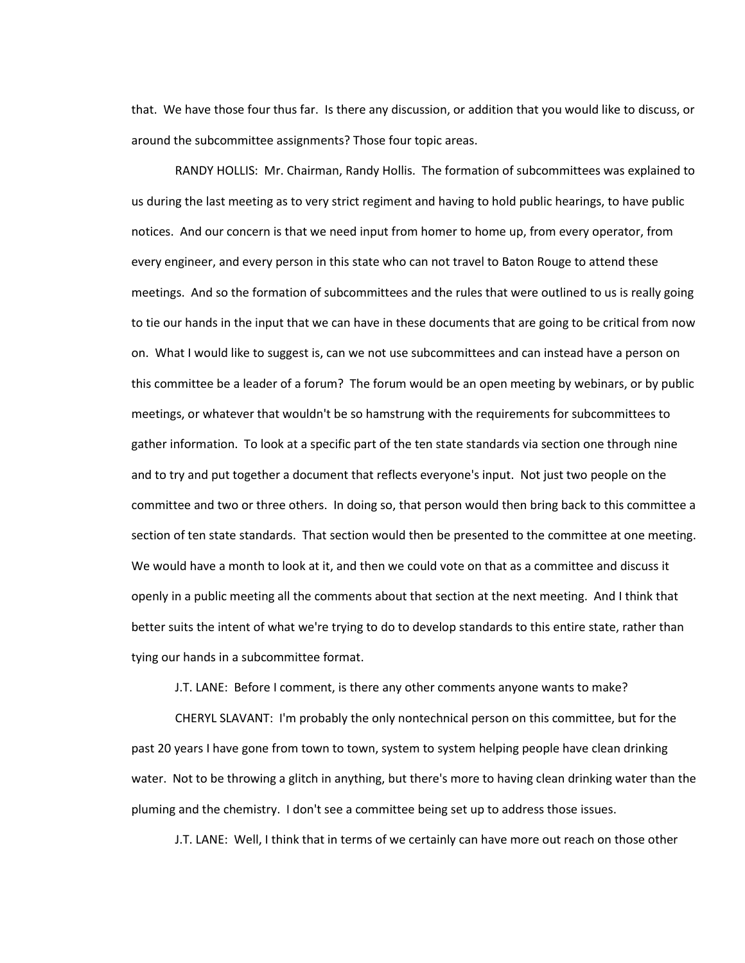that. We have those four thus far. Is there any discussion, or addition that you would like to discuss, or around the subcommittee assignments? Those four topic areas.

RANDY HOLLIS: Mr. Chairman, Randy Hollis. The formation of subcommittees was explained to us during the last meeting as to very strict regiment and having to hold public hearings, to have public notices. And our concern is that we need input from homer to home up, from every operator, from every engineer, and every person in this state who can not travel to Baton Rouge to attend these meetings. And so the formation of subcommittees and the rules that were outlined to us is really going to tie our hands in the input that we can have in these documents that are going to be critical from now on. What I would like to suggest is, can we not use subcommittees and can instead have a person on this committee be a leader of a forum? The forum would be an open meeting by webinars, or by public meetings, or whatever that wouldn't be so hamstrung with the requirements for subcommittees to gather information. To look at a specific part of the ten state standards via section one through nine and to try and put together a document that reflects everyone's input. Not just two people on the committee and two or three others. In doing so, that person would then bring back to this committee a section of ten state standards. That section would then be presented to the committee at one meeting. We would have a month to look at it, and then we could vote on that as a committee and discuss it openly in a public meeting all the comments about that section at the next meeting. And I think that better suits the intent of what we're trying to do to develop standards to this entire state, rather than tying our hands in a subcommittee format.

J.T. LANE: Before I comment, is there any other comments anyone wants to make?

CHERYL SLAVANT: I'm probably the only nontechnical person on this committee, but for the past 20 years I have gone from town to town, system to system helping people have clean drinking water. Not to be throwing a glitch in anything, but there's more to having clean drinking water than the pluming and the chemistry. I don't see a committee being set up to address those issues.

J.T. LANE: Well, I think that in terms of we certainly can have more out reach on those other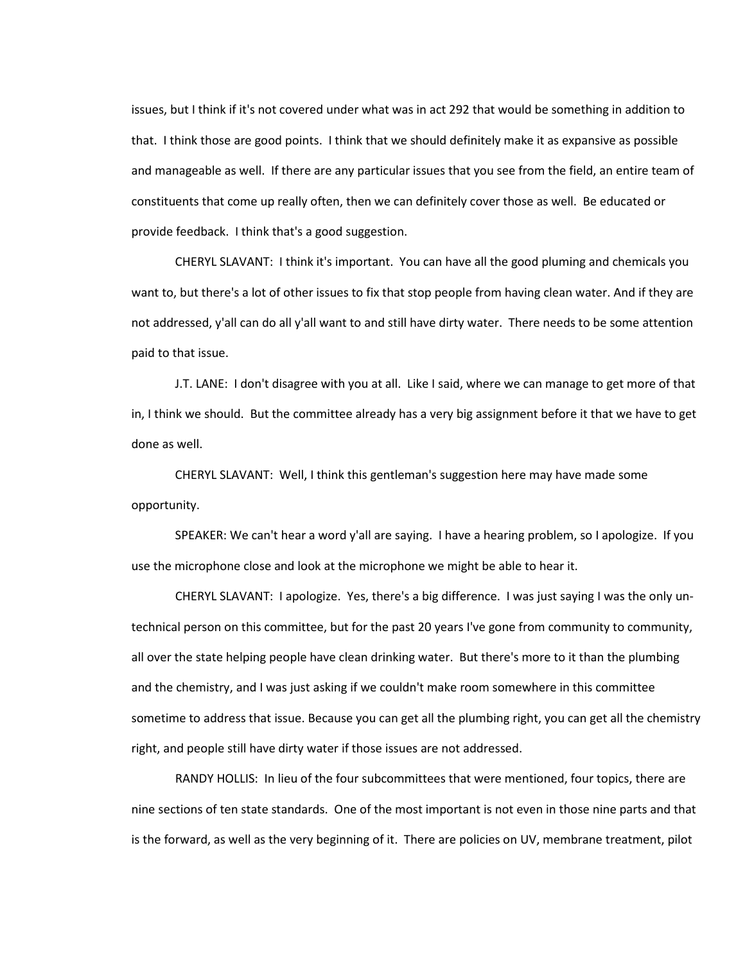issues, but I think if it's not covered under what was in act 292 that would be something in addition to that. I think those are good points. I think that we should definitely make it as expansive as possible and manageable as well. If there are any particular issues that you see from the field, an entire team of constituents that come up really often, then we can definitely cover those as well. Be educated or provide feedback. I think that's a good suggestion.

CHERYL SLAVANT: I think it's important. You can have all the good pluming and chemicals you want to, but there's a lot of other issues to fix that stop people from having clean water. And if they are not addressed, y'all can do all y'all want to and still have dirty water. There needs to be some attention paid to that issue.

J.T. LANE: I don't disagree with you at all. Like I said, where we can manage to get more of that in, I think we should. But the committee already has a very big assignment before it that we have to get done as well.

CHERYL SLAVANT: Well, I think this gentleman's suggestion here may have made some opportunity.

SPEAKER: We can't hear a word y'all are saying. I have a hearing problem, so I apologize. If you use the microphone close and look at the microphone we might be able to hear it.

CHERYL SLAVANT: I apologize. Yes, there's a big difference. I was just saying I was the only untechnical person on this committee, but for the past 20 years I've gone from community to community, all over the state helping people have clean drinking water. But there's more to it than the plumbing and the chemistry, and I was just asking if we couldn't make room somewhere in this committee sometime to address that issue. Because you can get all the plumbing right, you can get all the chemistry right, and people still have dirty water if those issues are not addressed.

RANDY HOLLIS: In lieu of the four subcommittees that were mentioned, four topics, there are nine sections of ten state standards. One of the most important is not even in those nine parts and that is the forward, as well as the very beginning of it. There are policies on UV, membrane treatment, pilot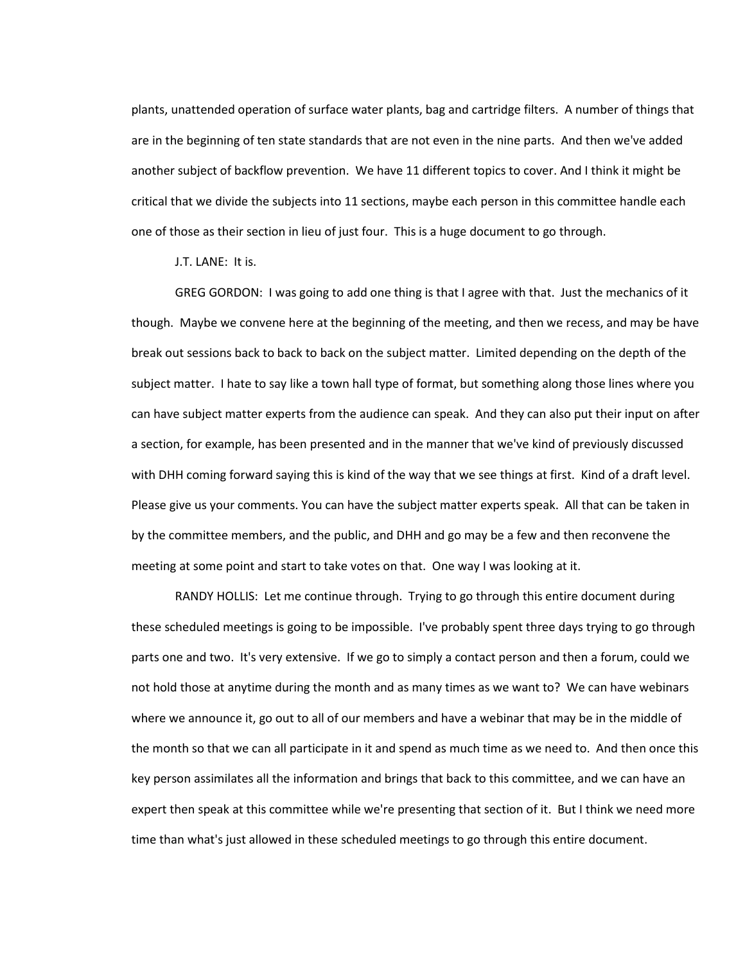plants, unattended operation of surface water plants, bag and cartridge filters. A number of things that are in the beginning of ten state standards that are not even in the nine parts. And then we've added another subject of backflow prevention. We have 11 different topics to cover. And I think it might be critical that we divide the subjects into 11 sections, maybe each person in this committee handle each one of those as their section in lieu of just four. This is a huge document to go through.

J.T. LANE: It is.

GREG GORDON: I was going to add one thing is that I agree with that. Just the mechanics of it though. Maybe we convene here at the beginning of the meeting, and then we recess, and may be have break out sessions back to back to back on the subject matter. Limited depending on the depth of the subject matter. I hate to say like a town hall type of format, but something along those lines where you can have subject matter experts from the audience can speak. And they can also put their input on after a section, for example, has been presented and in the manner that we've kind of previously discussed with DHH coming forward saying this is kind of the way that we see things at first. Kind of a draft level. Please give us your comments. You can have the subject matter experts speak. All that can be taken in by the committee members, and the public, and DHH and go may be a few and then reconvene the meeting at some point and start to take votes on that. One way I was looking at it.

RANDY HOLLIS: Let me continue through. Trying to go through this entire document during these scheduled meetings is going to be impossible. I've probably spent three days trying to go through parts one and two. It's very extensive. If we go to simply a contact person and then a forum, could we not hold those at anytime during the month and as many times as we want to? We can have webinars where we announce it, go out to all of our members and have a webinar that may be in the middle of the month so that we can all participate in it and spend as much time as we need to. And then once this key person assimilates all the information and brings that back to this committee, and we can have an expert then speak at this committee while we're presenting that section of it. But I think we need more time than what's just allowed in these scheduled meetings to go through this entire document.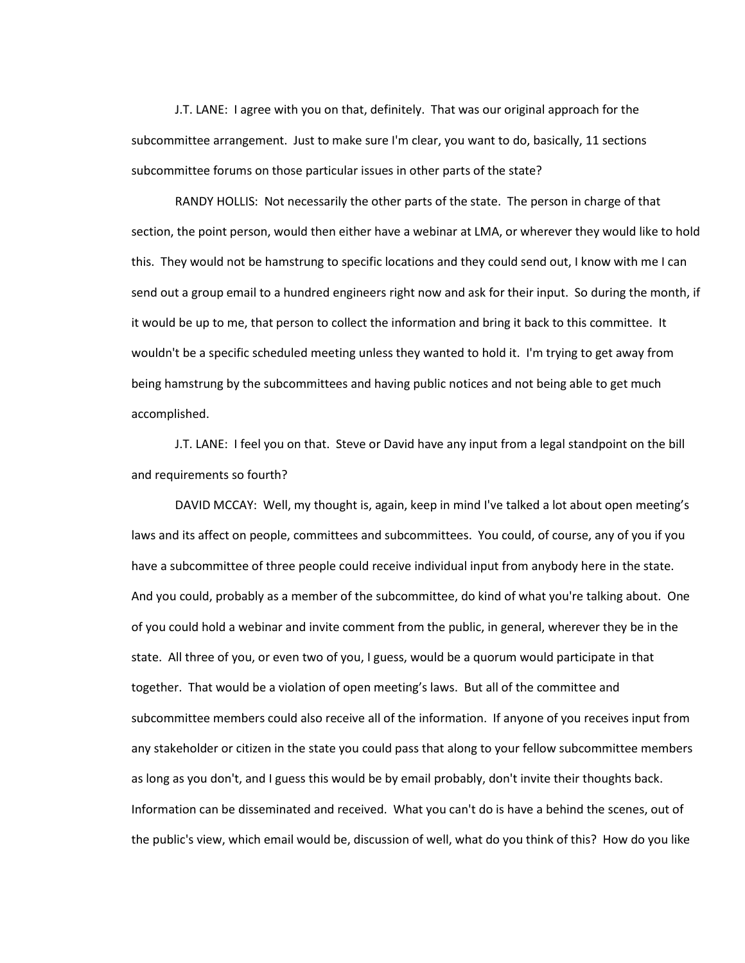J.T. LANE: I agree with you on that, definitely. That was our original approach for the subcommittee arrangement. Just to make sure I'm clear, you want to do, basically, 11 sections subcommittee forums on those particular issues in other parts of the state?

RANDY HOLLIS: Not necessarily the other parts of the state. The person in charge of that section, the point person, would then either have a webinar at LMA, or wherever they would like to hold this. They would not be hamstrung to specific locations and they could send out, I know with me I can send out a group email to a hundred engineers right now and ask for their input. So during the month, if it would be up to me, that person to collect the information and bring it back to this committee. It wouldn't be a specific scheduled meeting unless they wanted to hold it. I'm trying to get away from being hamstrung by the subcommittees and having public notices and not being able to get much accomplished.

J.T. LANE: I feel you on that. Steve or David have any input from a legal standpoint on the bill and requirements so fourth?

DAVID MCCAY: Well, my thought is, again, keep in mind I've talked a lot about open meeting's laws and its affect on people, committees and subcommittees. You could, of course, any of you if you have a subcommittee of three people could receive individual input from anybody here in the state. And you could, probably as a member of the subcommittee, do kind of what you're talking about. One of you could hold a webinar and invite comment from the public, in general, wherever they be in the state. All three of you, or even two of you, I guess, would be a quorum would participate in that together. That would be a violation of open meeting's laws. But all of the committee and subcommittee members could also receive all of the information. If anyone of you receives input from any stakeholder or citizen in the state you could pass that along to your fellow subcommittee members as long as you don't, and I guess this would be by email probably, don't invite their thoughts back. Information can be disseminated and received. What you can't do is have a behind the scenes, out of the public's view, which email would be, discussion of well, what do you think of this? How do you like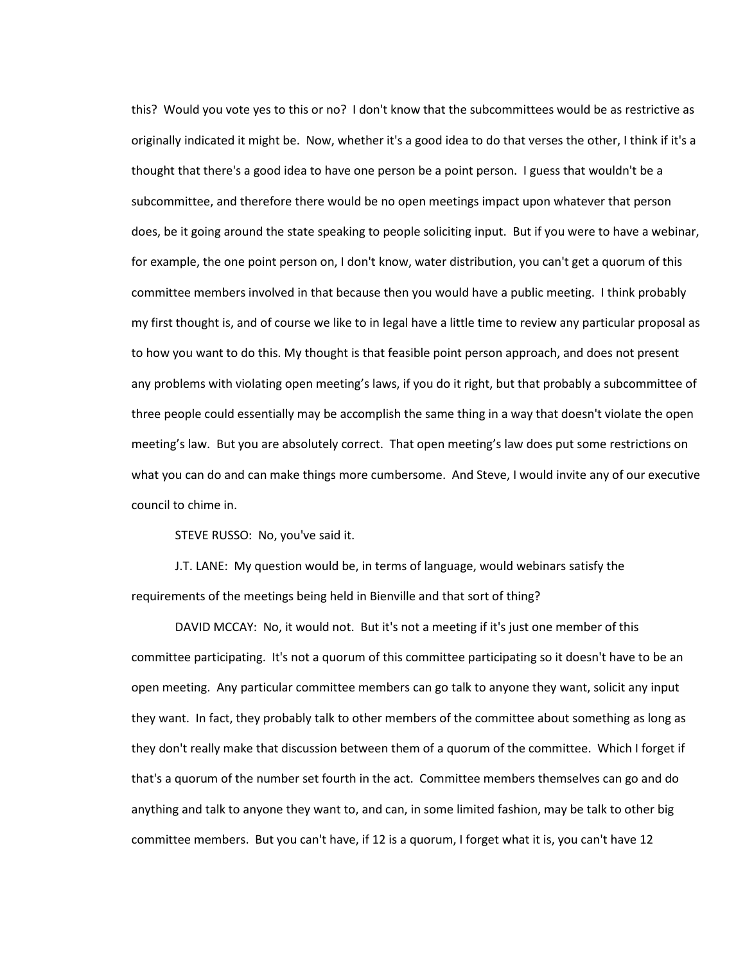this? Would you vote yes to this or no? I don't know that the subcommittees would be as restrictive as originally indicated it might be. Now, whether it's a good idea to do that verses the other, I think if it's a thought that there's a good idea to have one person be a point person. I guess that wouldn't be a subcommittee, and therefore there would be no open meetings impact upon whatever that person does, be it going around the state speaking to people soliciting input. But if you were to have a webinar, for example, the one point person on, I don't know, water distribution, you can't get a quorum of this committee members involved in that because then you would have a public meeting. I think probably my first thought is, and of course we like to in legal have a little time to review any particular proposal as to how you want to do this. My thought is that feasible point person approach, and does not present any problems with violating open meeting's laws, if you do it right, but that probably a subcommittee of three people could essentially may be accomplish the same thing in a way that doesn't violate the open meeting's law. But you are absolutely correct. That open meeting's law does put some restrictions on what you can do and can make things more cumbersome. And Steve, I would invite any of our executive council to chime in.

STEVE RUSSO: No, you've said it.

J.T. LANE: My question would be, in terms of language, would webinars satisfy the requirements of the meetings being held in Bienville and that sort of thing?

DAVID MCCAY: No, it would not. But it's not a meeting if it's just one member of this committee participating. It's not a quorum of this committee participating so it doesn't have to be an open meeting. Any particular committee members can go talk to anyone they want, solicit any input they want. In fact, they probably talk to other members of the committee about something as long as they don't really make that discussion between them of a quorum of the committee. Which I forget if that's a quorum of the number set fourth in the act. Committee members themselves can go and do anything and talk to anyone they want to, and can, in some limited fashion, may be talk to other big committee members. But you can't have, if 12 is a quorum, I forget what it is, you can't have 12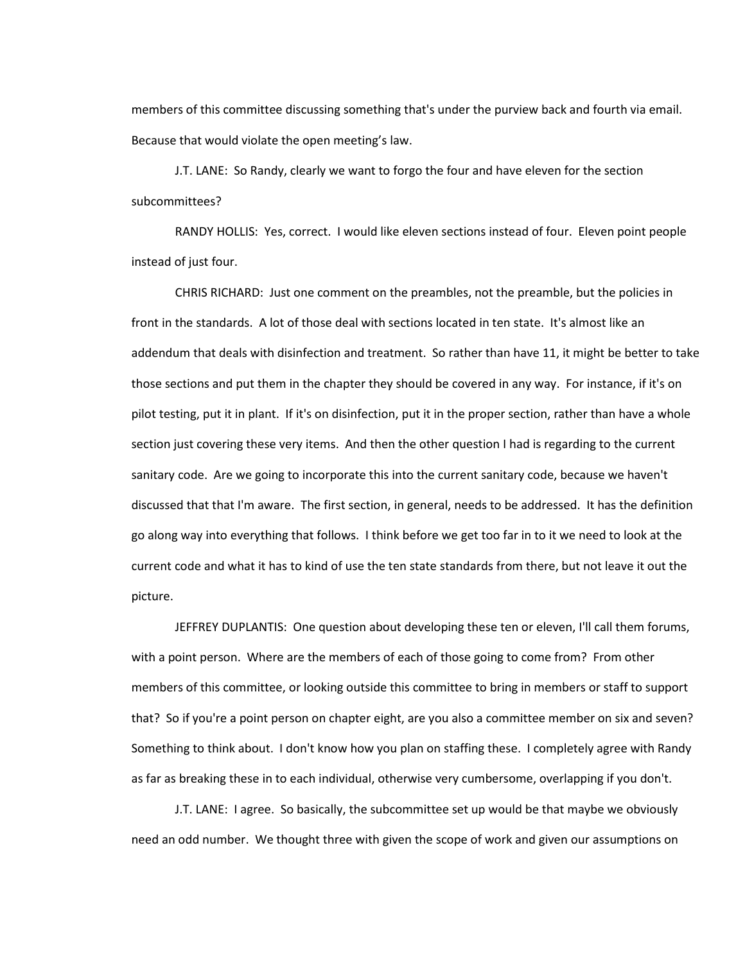members of this committee discussing something that's under the purview back and fourth via email. Because that would violate the open meeting's law.

J.T. LANE: So Randy, clearly we want to forgo the four and have eleven for the section subcommittees?

RANDY HOLLIS: Yes, correct. I would like eleven sections instead of four. Eleven point people instead of just four.

CHRIS RICHARD: Just one comment on the preambles, not the preamble, but the policies in front in the standards. A lot of those deal with sections located in ten state. It's almost like an addendum that deals with disinfection and treatment. So rather than have 11, it might be better to take those sections and put them in the chapter they should be covered in any way. For instance, if it's on pilot testing, put it in plant. If it's on disinfection, put it in the proper section, rather than have a whole section just covering these very items. And then the other question I had is regarding to the current sanitary code. Are we going to incorporate this into the current sanitary code, because we haven't discussed that that I'm aware. The first section, in general, needs to be addressed. It has the definition go along way into everything that follows. I think before we get too far in to it we need to look at the current code and what it has to kind of use the ten state standards from there, but not leave it out the picture.

JEFFREY DUPLANTIS: One question about developing these ten or eleven, I'll call them forums, with a point person. Where are the members of each of those going to come from? From other members of this committee, or looking outside this committee to bring in members or staff to support that? So if you're a point person on chapter eight, are you also a committee member on six and seven? Something to think about. I don't know how you plan on staffing these. I completely agree with Randy as far as breaking these in to each individual, otherwise very cumbersome, overlapping if you don't.

J.T. LANE: I agree. So basically, the subcommittee set up would be that maybe we obviously need an odd number. We thought three with given the scope of work and given our assumptions on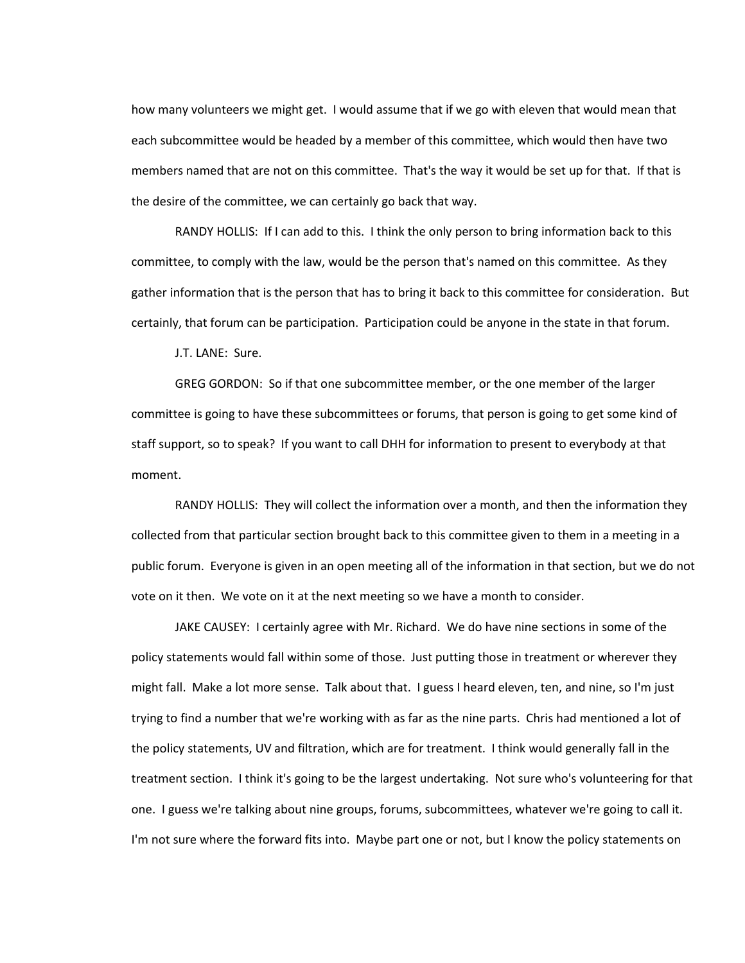how many volunteers we might get. I would assume that if we go with eleven that would mean that each subcommittee would be headed by a member of this committee, which would then have two members named that are not on this committee. That's the way it would be set up for that. If that is the desire of the committee, we can certainly go back that way.

RANDY HOLLIS: If I can add to this. I think the only person to bring information back to this committee, to comply with the law, would be the person that's named on this committee. As they gather information that is the person that has to bring it back to this committee for consideration. But certainly, that forum can be participation. Participation could be anyone in the state in that forum.

J.T. LANE: Sure.

GREG GORDON: So if that one subcommittee member, or the one member of the larger committee is going to have these subcommittees or forums, that person is going to get some kind of staff support, so to speak? If you want to call DHH for information to present to everybody at that moment.

RANDY HOLLIS: They will collect the information over a month, and then the information they collected from that particular section brought back to this committee given to them in a meeting in a public forum. Everyone is given in an open meeting all of the information in that section, but we do not vote on it then. We vote on it at the next meeting so we have a month to consider.

JAKE CAUSEY: I certainly agree with Mr. Richard. We do have nine sections in some of the policy statements would fall within some of those. Just putting those in treatment or wherever they might fall. Make a lot more sense. Talk about that. I guess I heard eleven, ten, and nine, so I'm just trying to find a number that we're working with as far as the nine parts. Chris had mentioned a lot of the policy statements, UV and filtration, which are for treatment. I think would generally fall in the treatment section. I think it's going to be the largest undertaking. Not sure who's volunteering for that one. I guess we're talking about nine groups, forums, subcommittees, whatever we're going to call it. I'm not sure where the forward fits into. Maybe part one or not, but I know the policy statements on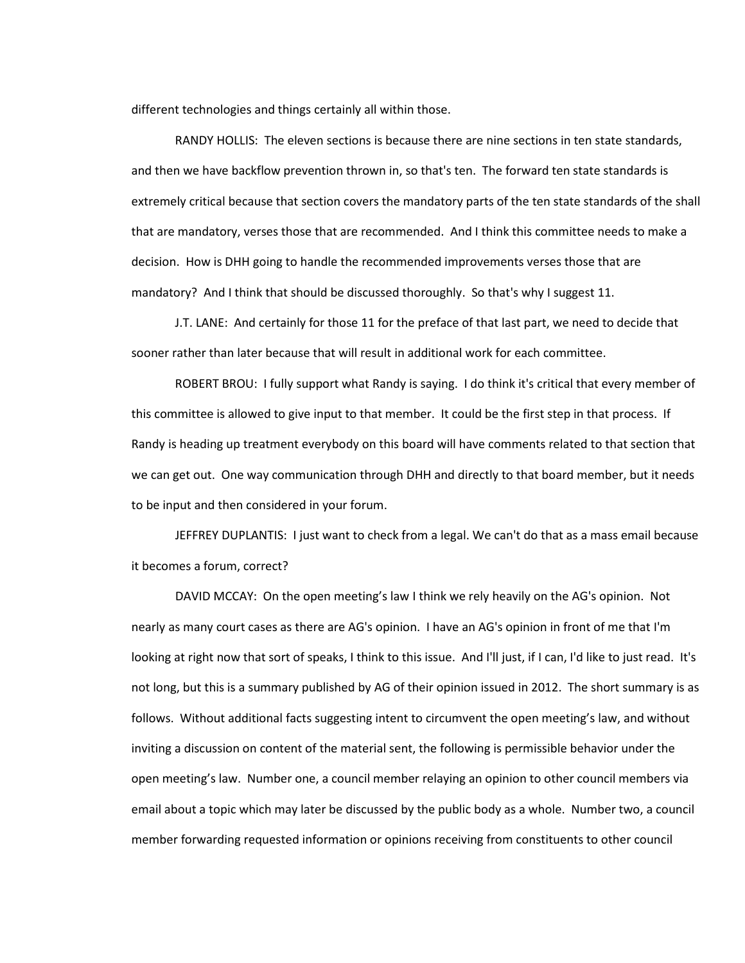different technologies and things certainly all within those.

RANDY HOLLIS: The eleven sections is because there are nine sections in ten state standards, and then we have backflow prevention thrown in, so that's ten. The forward ten state standards is extremely critical because that section covers the mandatory parts of the ten state standards of the shall that are mandatory, verses those that are recommended. And I think this committee needs to make a decision. How is DHH going to handle the recommended improvements verses those that are mandatory? And I think that should be discussed thoroughly. So that's why I suggest 11.

J.T. LANE: And certainly for those 11 for the preface of that last part, we need to decide that sooner rather than later because that will result in additional work for each committee.

ROBERT BROU: I fully support what Randy is saying. I do think it's critical that every member of this committee is allowed to give input to that member. It could be the first step in that process. If Randy is heading up treatment everybody on this board will have comments related to that section that we can get out. One way communication through DHH and directly to that board member, but it needs to be input and then considered in your forum.

JEFFREY DUPLANTIS: I just want to check from a legal. We can't do that as a mass email because it becomes a forum, correct?

DAVID MCCAY: On the open meeting's law I think we rely heavily on the AG's opinion. Not nearly as many court cases as there are AG's opinion. I have an AG's opinion in front of me that I'm looking at right now that sort of speaks, I think to this issue. And I'll just, if I can, I'd like to just read. It's not long, but this is a summary published by AG of their opinion issued in 2012. The short summary is as follows. Without additional facts suggesting intent to circumvent the open meeting's law, and without inviting a discussion on content of the material sent, the following is permissible behavior under the open meeting's law. Number one, a council member relaying an opinion to other council members via email about a topic which may later be discussed by the public body as a whole. Number two, a council member forwarding requested information or opinions receiving from constituents to other council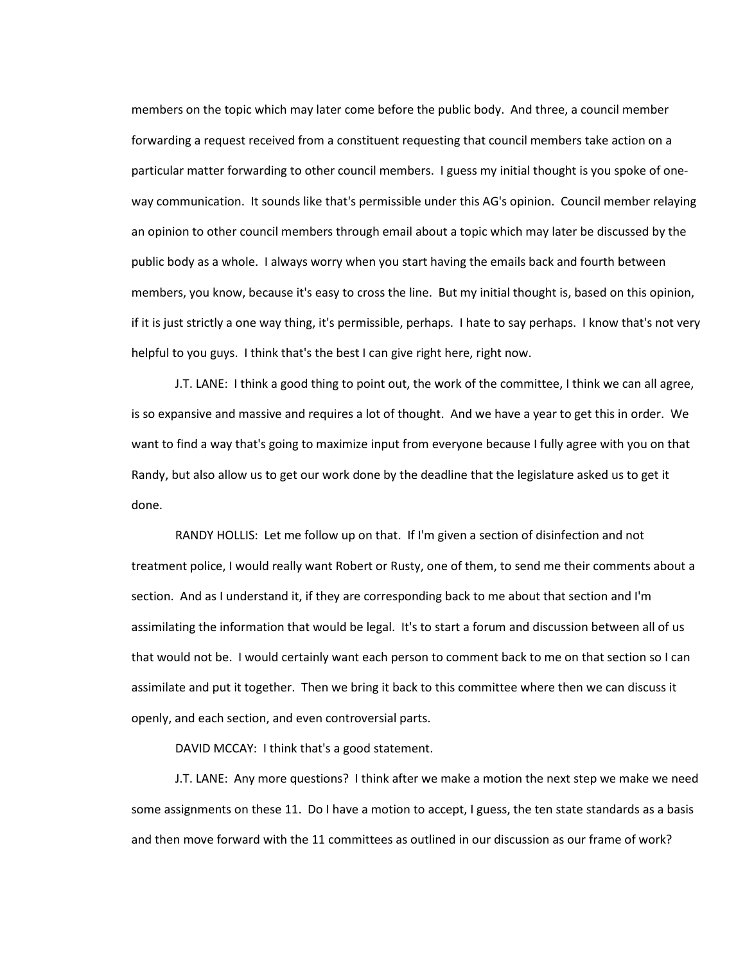members on the topic which may later come before the public body. And three, a council member forwarding a request received from a constituent requesting that council members take action on a particular matter forwarding to other council members. I guess my initial thought is you spoke of oneway communication. It sounds like that's permissible under this AG's opinion. Council member relaying an opinion to other council members through email about a topic which may later be discussed by the public body as a whole. I always worry when you start having the emails back and fourth between members, you know, because it's easy to cross the line. But my initial thought is, based on this opinion, if it is just strictly a one way thing, it's permissible, perhaps. I hate to say perhaps. I know that's not very helpful to you guys. I think that's the best I can give right here, right now.

J.T. LANE: I think a good thing to point out, the work of the committee, I think we can all agree, is so expansive and massive and requires a lot of thought. And we have a year to get this in order. We want to find a way that's going to maximize input from everyone because I fully agree with you on that Randy, but also allow us to get our work done by the deadline that the legislature asked us to get it done.

RANDY HOLLIS: Let me follow up on that. If I'm given a section of disinfection and not treatment police, I would really want Robert or Rusty, one of them, to send me their comments about a section. And as I understand it, if they are corresponding back to me about that section and I'm assimilating the information that would be legal. It's to start a forum and discussion between all of us that would not be. I would certainly want each person to comment back to me on that section so I can assimilate and put it together. Then we bring it back to this committee where then we can discuss it openly, and each section, and even controversial parts.

DAVID MCCAY: I think that's a good statement.

J.T. LANE: Any more questions? I think after we make a motion the next step we make we need some assignments on these 11. Do I have a motion to accept, I guess, the ten state standards as a basis and then move forward with the 11 committees as outlined in our discussion as our frame of work?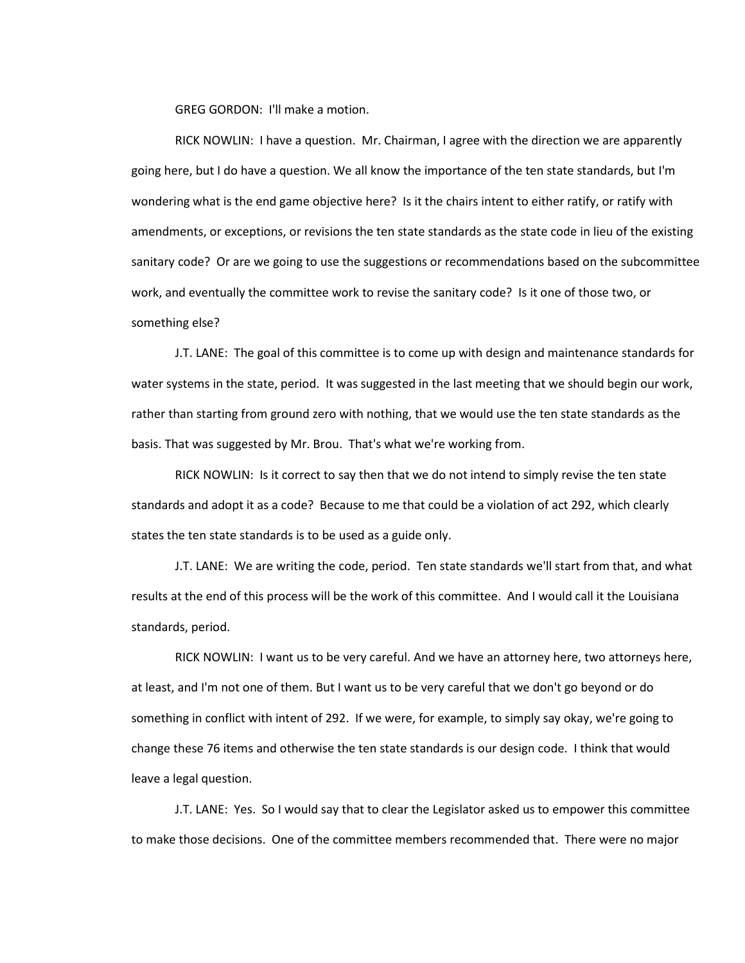GREG GORDON: I'll make a motion.

RICK NOWLIN: I have a question. Mr. Chairman, I agree with the direction we are apparently going here, but I do have a question. We all know the importance of the ten state standards, but I'm wondering what is the end game objective here? Is it the chairs intent to either ratify, or ratify with amendments, or exceptions, or revisions the ten state standards as the state code in lieu of the existing sanitary code? Or are we going to use the suggestions or recommendations based on the subcommittee work, and eventually the committee work to revise the sanitary code? Is it one of those two, or something else?

J.T. LANE: The goal of this committee is to come up with design and maintenance standards for water systems in the state, period. It was suggested in the last meeting that we should begin our work, rather than starting from ground zero with nothing, that we would use the ten state standards as the basis. That was suggested by Mr. Brou. That's what we're working from.

RICK NOWLIN: Is it correct to say then that we do not intend to simply revise the ten state standards and adopt it as a code? Because to me that could be a violation of act 292, which clearly states the ten state standards is to be used as a guide only.

J.T. LANE: We are writing the code, period. Ten state standards we'll start from that, and what results at the end of this process will be the work of this committee. And I would call it the Louisiana standards, period.

RICK NOWLIN: I want us to be very careful. And we have an attorney here, two attorneys here, at least, and I'm not one of them. But I want us to be very careful that we don't go beyond or do something in conflict with intent of 292. If we were, for example, to simply say okay, we're going to change these 76 items and otherwise the ten state standards is our design code. I think that would leave a legal question.

J.T. LANE: Yes. So I would say that to clear the Legislator asked us to empower this committee to make those decisions. One of the committee members recommended that. There were no major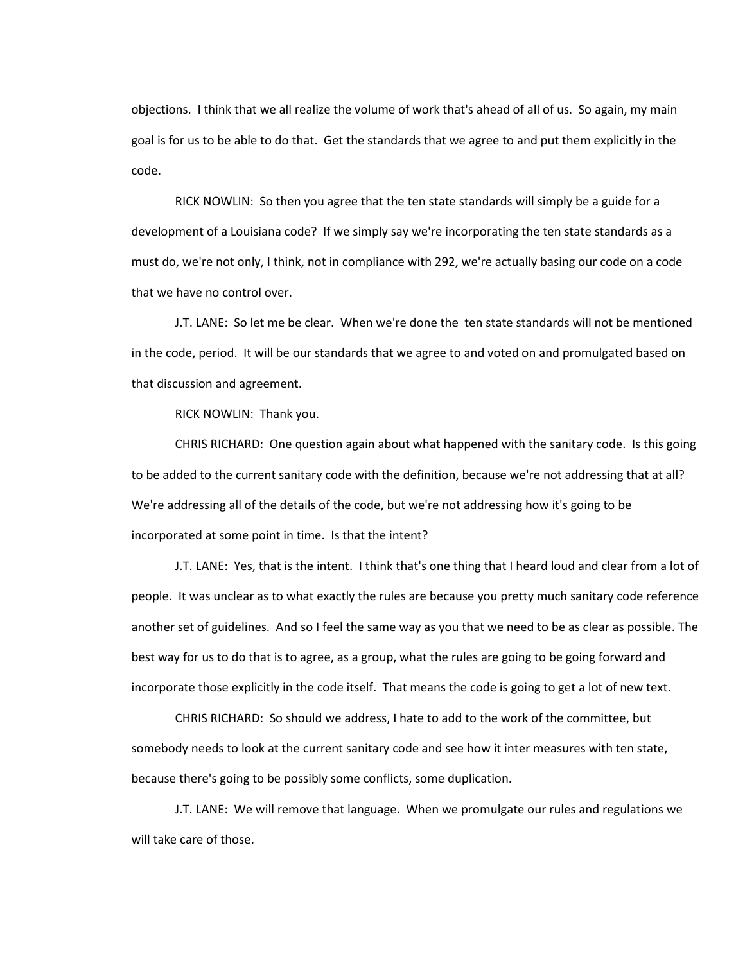objections. I think that we all realize the volume of work that's ahead of all of us. So again, my main goal is for us to be able to do that. Get the standards that we agree to and put them explicitly in the code.

RICK NOWLIN: So then you agree that the ten state standards will simply be a guide for a development of a Louisiana code? If we simply say we're incorporating the ten state standards as a must do, we're not only, I think, not in compliance with 292, we're actually basing our code on a code that we have no control over.

J.T. LANE: So let me be clear. When we're done the ten state standards will not be mentioned in the code, period. It will be our standards that we agree to and voted on and promulgated based on that discussion and agreement.

RICK NOWLIN: Thank you.

CHRIS RICHARD: One question again about what happened with the sanitary code. Is this going to be added to the current sanitary code with the definition, because we're not addressing that at all? We're addressing all of the details of the code, but we're not addressing how it's going to be incorporated at some point in time. Is that the intent?

J.T. LANE: Yes, that is the intent. I think that's one thing that I heard loud and clear from a lot of people. It was unclear as to what exactly the rules are because you pretty much sanitary code reference another set of guidelines. And so I feel the same way as you that we need to be as clear as possible. The best way for us to do that is to agree, as a group, what the rules are going to be going forward and incorporate those explicitly in the code itself. That means the code is going to get a lot of new text.

CHRIS RICHARD: So should we address, I hate to add to the work of the committee, but somebody needs to look at the current sanitary code and see how it inter measures with ten state, because there's going to be possibly some conflicts, some duplication.

J.T. LANE: We will remove that language. When we promulgate our rules and regulations we will take care of those.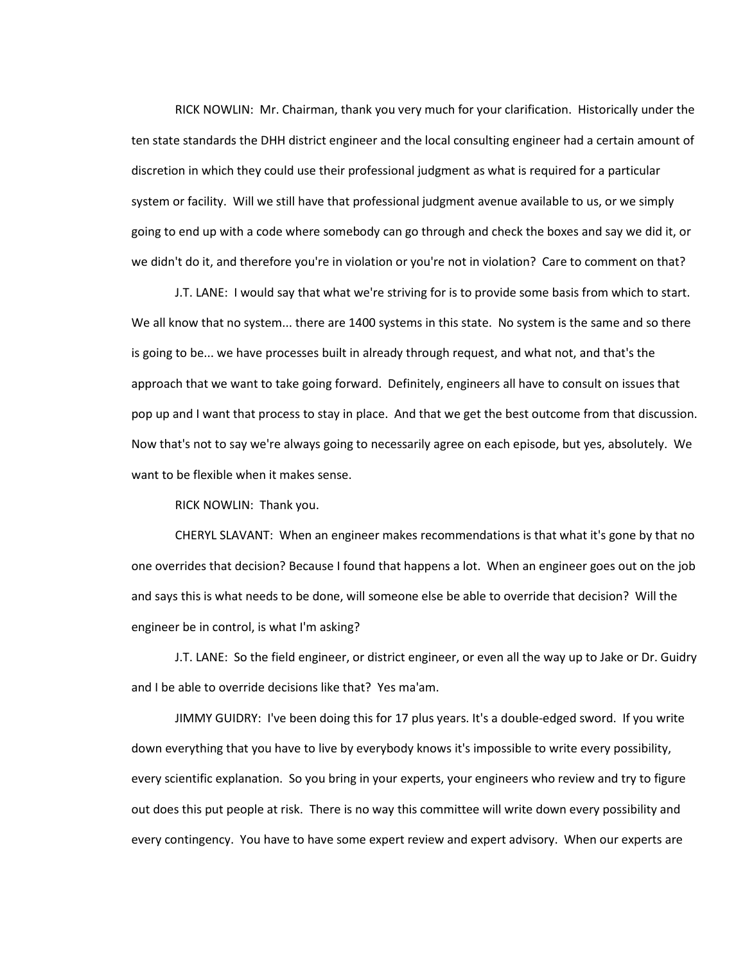RICK NOWLIN: Mr. Chairman, thank you very much for your clarification. Historically under the ten state standards the DHH district engineer and the local consulting engineer had a certain amount of discretion in which they could use their professional judgment as what is required for a particular system or facility. Will we still have that professional judgment avenue available to us, or we simply going to end up with a code where somebody can go through and check the boxes and say we did it, or we didn't do it, and therefore you're in violation or you're not in violation? Care to comment on that?

J.T. LANE: I would say that what we're striving for is to provide some basis from which to start. We all know that no system... there are 1400 systems in this state. No system is the same and so there is going to be... we have processes built in already through request, and what not, and that's the approach that we want to take going forward. Definitely, engineers all have to consult on issues that pop up and I want that process to stay in place. And that we get the best outcome from that discussion. Now that's not to say we're always going to necessarily agree on each episode, but yes, absolutely. We want to be flexible when it makes sense.

RICK NOWLIN: Thank you.

CHERYL SLAVANT: When an engineer makes recommendations is that what it's gone by that no one overrides that decision? Because I found that happens a lot. When an engineer goes out on the job and says this is what needs to be done, will someone else be able to override that decision? Will the engineer be in control, is what I'm asking?

J.T. LANE: So the field engineer, or district engineer, or even all the way up to Jake or Dr. Guidry and I be able to override decisions like that? Yes ma'am.

JIMMY GUIDRY: I've been doing this for 17 plus years. It's a double-edged sword. If you write down everything that you have to live by everybody knows it's impossible to write every possibility, every scientific explanation. So you bring in your experts, your engineers who review and try to figure out does this put people at risk. There is no way this committee will write down every possibility and every contingency. You have to have some expert review and expert advisory. When our experts are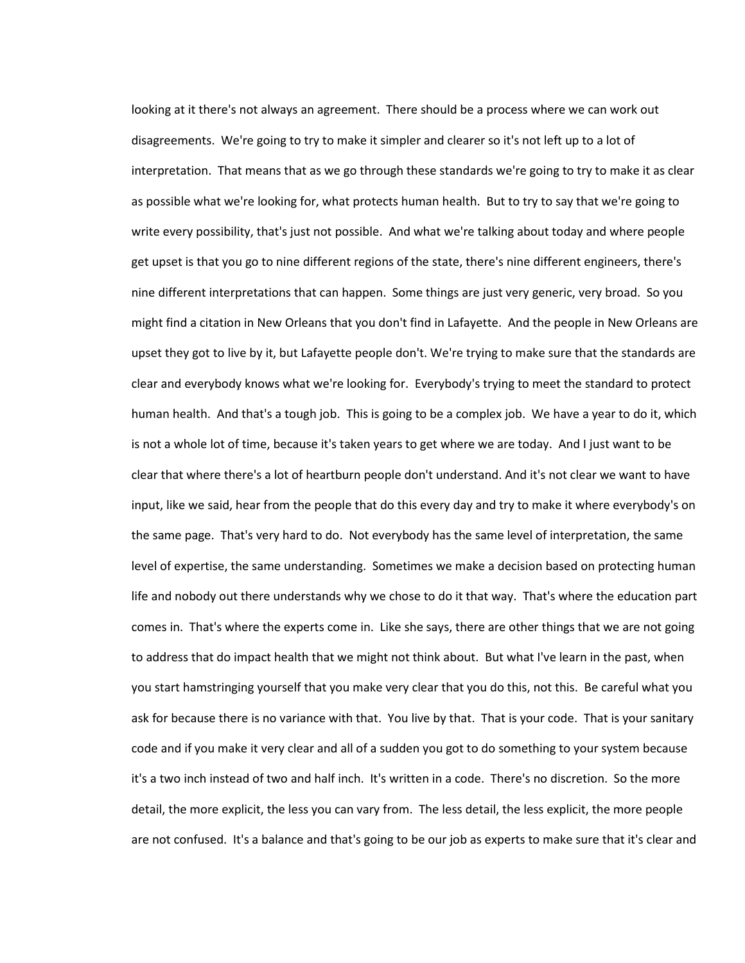looking at it there's not always an agreement. There should be a process where we can work out disagreements. We're going to try to make it simpler and clearer so it's not left up to a lot of interpretation. That means that as we go through these standards we're going to try to make it as clear as possible what we're looking for, what protects human health. But to try to say that we're going to write every possibility, that's just not possible. And what we're talking about today and where people get upset is that you go to nine different regions of the state, there's nine different engineers, there's nine different interpretations that can happen. Some things are just very generic, very broad. So you might find a citation in New Orleans that you don't find in Lafayette. And the people in New Orleans are upset they got to live by it, but Lafayette people don't. We're trying to make sure that the standards are clear and everybody knows what we're looking for. Everybody's trying to meet the standard to protect human health. And that's a tough job. This is going to be a complex job. We have a year to do it, which is not a whole lot of time, because it's taken years to get where we are today. And I just want to be clear that where there's a lot of heartburn people don't understand. And it's not clear we want to have input, like we said, hear from the people that do this every day and try to make it where everybody's on the same page. That's very hard to do. Not everybody has the same level of interpretation, the same level of expertise, the same understanding. Sometimes we make a decision based on protecting human life and nobody out there understands why we chose to do it that way. That's where the education part comes in. That's where the experts come in. Like she says, there are other things that we are not going to address that do impact health that we might not think about. But what I've learn in the past, when you start hamstringing yourself that you make very clear that you do this, not this. Be careful what you ask for because there is no variance with that. You live by that. That is your code. That is your sanitary code and if you make it very clear and all of a sudden you got to do something to your system because it's a two inch instead of two and half inch. It's written in a code. There's no discretion. So the more detail, the more explicit, the less you can vary from. The less detail, the less explicit, the more people are not confused. It's a balance and that's going to be our job as experts to make sure that it's clear and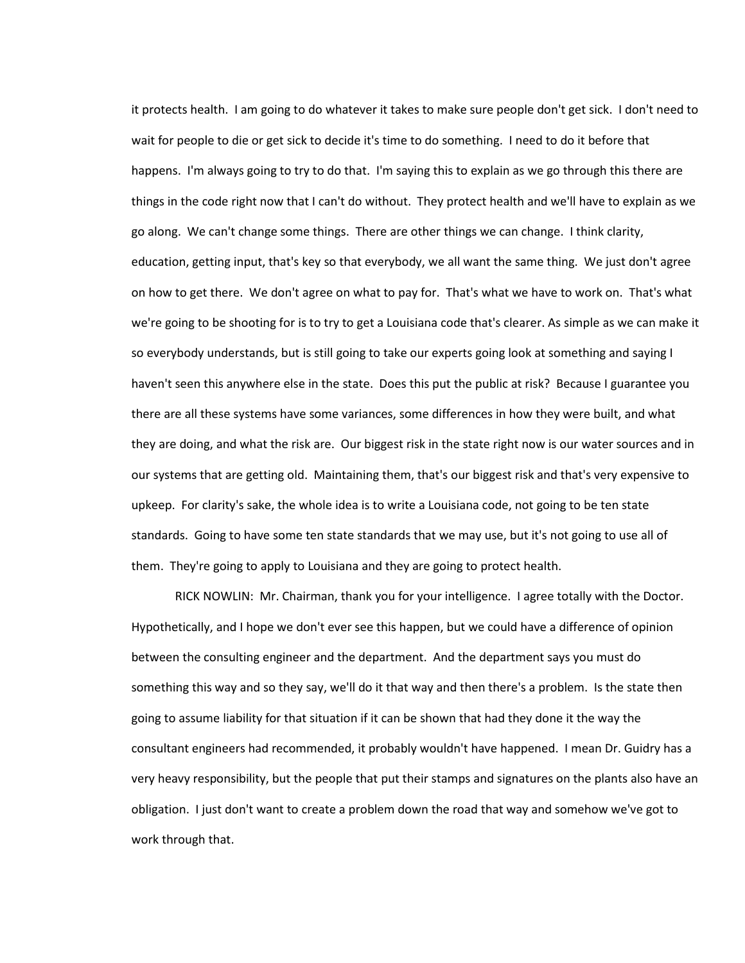it protects health. I am going to do whatever it takes to make sure people don't get sick. I don't need to wait for people to die or get sick to decide it's time to do something. I need to do it before that happens. I'm always going to try to do that. I'm saying this to explain as we go through this there are things in the code right now that I can't do without. They protect health and we'll have to explain as we go along. We can't change some things. There are other things we can change. I think clarity, education, getting input, that's key so that everybody, we all want the same thing. We just don't agree on how to get there. We don't agree on what to pay for. That's what we have to work on. That's what we're going to be shooting for is to try to get a Louisiana code that's clearer. As simple as we can make it so everybody understands, but is still going to take our experts going look at something and saying I haven't seen this anywhere else in the state. Does this put the public at risk? Because I guarantee you there are all these systems have some variances, some differences in how they were built, and what they are doing, and what the risk are. Our biggest risk in the state right now is our water sources and in our systems that are getting old. Maintaining them, that's our biggest risk and that's very expensive to upkeep. For clarity's sake, the whole idea is to write a Louisiana code, not going to be ten state standards. Going to have some ten state standards that we may use, but it's not going to use all of them. They're going to apply to Louisiana and they are going to protect health.

RICK NOWLIN: Mr. Chairman, thank you for your intelligence. I agree totally with the Doctor. Hypothetically, and I hope we don't ever see this happen, but we could have a difference of opinion between the consulting engineer and the department. And the department says you must do something this way and so they say, we'll do it that way and then there's a problem. Is the state then going to assume liability for that situation if it can be shown that had they done it the way the consultant engineers had recommended, it probably wouldn't have happened. I mean Dr. Guidry has a very heavy responsibility, but the people that put their stamps and signatures on the plants also have an obligation. I just don't want to create a problem down the road that way and somehow we've got to work through that.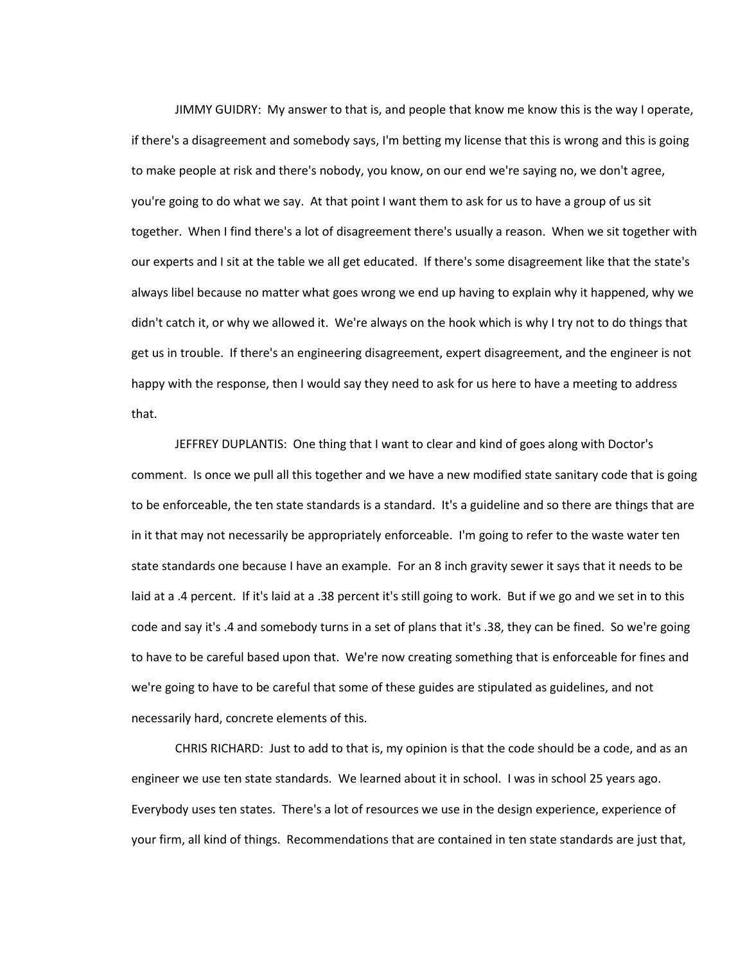JIMMY GUIDRY: My answer to that is, and people that know me know this is the way I operate, if there's a disagreement and somebody says, I'm betting my license that this is wrong and this is going to make people at risk and there's nobody, you know, on our end we're saying no, we don't agree, you're going to do what we say. At that point I want them to ask for us to have a group of us sit together. When I find there's a lot of disagreement there's usually a reason. When we sit together with our experts and I sit at the table we all get educated. If there's some disagreement like that the state's always libel because no matter what goes wrong we end up having to explain why it happened, why we didn't catch it, or why we allowed it. We're always on the hook which is why I try not to do things that get us in trouble. If there's an engineering disagreement, expert disagreement, and the engineer is not happy with the response, then I would say they need to ask for us here to have a meeting to address that.

JEFFREY DUPLANTIS: One thing that I want to clear and kind of goes along with Doctor's comment. Is once we pull all this together and we have a new modified state sanitary code that is going to be enforceable, the ten state standards is a standard. It's a guideline and so there are things that are in it that may not necessarily be appropriately enforceable. I'm going to refer to the waste water ten state standards one because I have an example. For an 8 inch gravity sewer it says that it needs to be laid at a .4 percent. If it's laid at a .38 percent it's still going to work. But if we go and we set in to this code and say it's .4 and somebody turns in a set of plans that it's .38, they can be fined. So we're going to have to be careful based upon that. We're now creating something that is enforceable for fines and we're going to have to be careful that some of these guides are stipulated as guidelines, and not necessarily hard, concrete elements of this.

CHRIS RICHARD: Just to add to that is, my opinion is that the code should be a code, and as an engineer we use ten state standards. We learned about it in school. I was in school 25 years ago. Everybody uses ten states. There's a lot of resources we use in the design experience, experience of your firm, all kind of things. Recommendations that are contained in ten state standards are just that,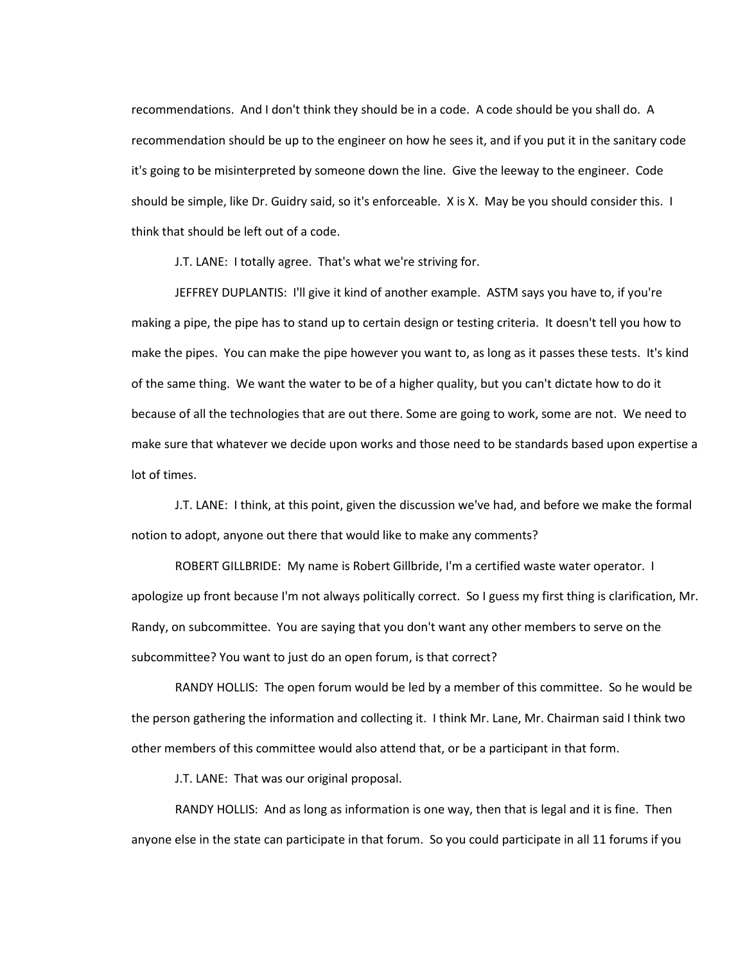recommendations. And I don't think they should be in a code. A code should be you shall do. A recommendation should be up to the engineer on how he sees it, and if you put it in the sanitary code it's going to be misinterpreted by someone down the line. Give the leeway to the engineer. Code should be simple, like Dr. Guidry said, so it's enforceable. X is X. May be you should consider this. I think that should be left out of a code.

J.T. LANE: I totally agree. That's what we're striving for.

JEFFREY DUPLANTIS: I'll give it kind of another example. ASTM says you have to, if you're making a pipe, the pipe has to stand up to certain design or testing criteria. It doesn't tell you how to make the pipes. You can make the pipe however you want to, as long as it passes these tests. It's kind of the same thing. We want the water to be of a higher quality, but you can't dictate how to do it because of all the technologies that are out there. Some are going to work, some are not. We need to make sure that whatever we decide upon works and those need to be standards based upon expertise a lot of times.

J.T. LANE: I think, at this point, given the discussion we've had, and before we make the formal notion to adopt, anyone out there that would like to make any comments?

ROBERT GILLBRIDE: My name is Robert Gillbride, I'm a certified waste water operator. I apologize up front because I'm not always politically correct. So I guess my first thing is clarification, Mr. Randy, on subcommittee. You are saying that you don't want any other members to serve on the subcommittee? You want to just do an open forum, is that correct?

RANDY HOLLIS: The open forum would be led by a member of this committee. So he would be the person gathering the information and collecting it. I think Mr. Lane, Mr. Chairman said I think two other members of this committee would also attend that, or be a participant in that form.

J.T. LANE: That was our original proposal.

RANDY HOLLIS: And as long as information is one way, then that is legal and it is fine. Then anyone else in the state can participate in that forum. So you could participate in all 11 forums if you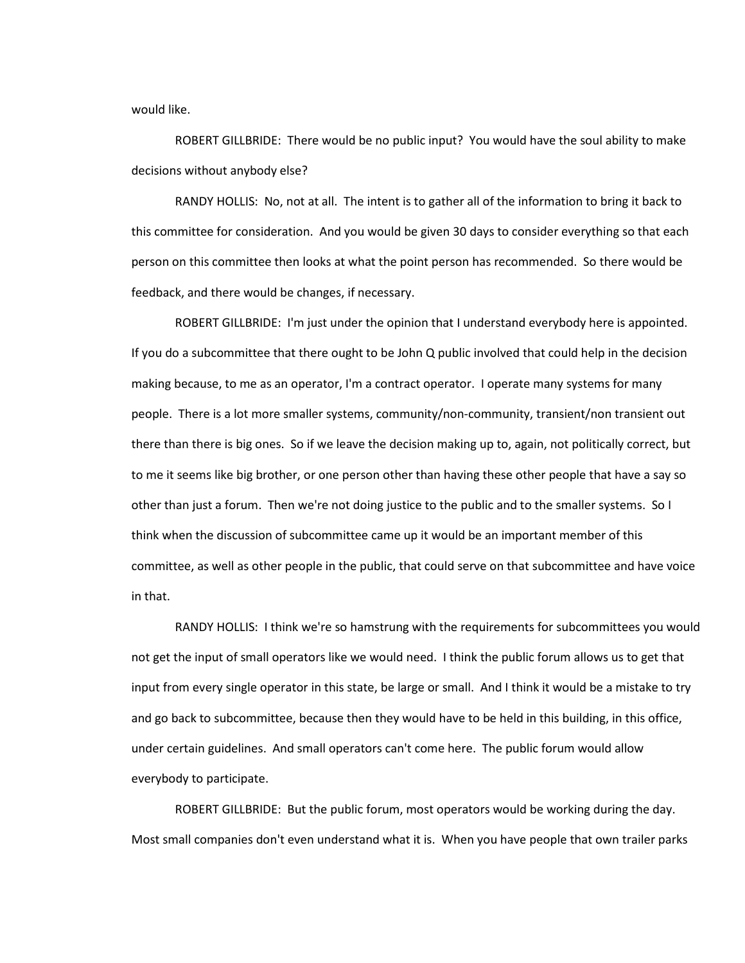would like.

ROBERT GILLBRIDE: There would be no public input? You would have the soul ability to make decisions without anybody else?

RANDY HOLLIS: No, not at all. The intent is to gather all of the information to bring it back to this committee for consideration. And you would be given 30 days to consider everything so that each person on this committee then looks at what the point person has recommended. So there would be feedback, and there would be changes, if necessary.

ROBERT GILLBRIDE: I'm just under the opinion that I understand everybody here is appointed. If you do a subcommittee that there ought to be John Q public involved that could help in the decision making because, to me as an operator, I'm a contract operator. I operate many systems for many people. There is a lot more smaller systems, community/non-community, transient/non transient out there than there is big ones. So if we leave the decision making up to, again, not politically correct, but to me it seems like big brother, or one person other than having these other people that have a say so other than just a forum. Then we're not doing justice to the public and to the smaller systems. So I think when the discussion of subcommittee came up it would be an important member of this committee, as well as other people in the public, that could serve on that subcommittee and have voice in that.

RANDY HOLLIS: I think we're so hamstrung with the requirements for subcommittees you would not get the input of small operators like we would need. I think the public forum allows us to get that input from every single operator in this state, be large or small. And I think it would be a mistake to try and go back to subcommittee, because then they would have to be held in this building, in this office, under certain guidelines. And small operators can't come here. The public forum would allow everybody to participate.

ROBERT GILLBRIDE: But the public forum, most operators would be working during the day. Most small companies don't even understand what it is. When you have people that own trailer parks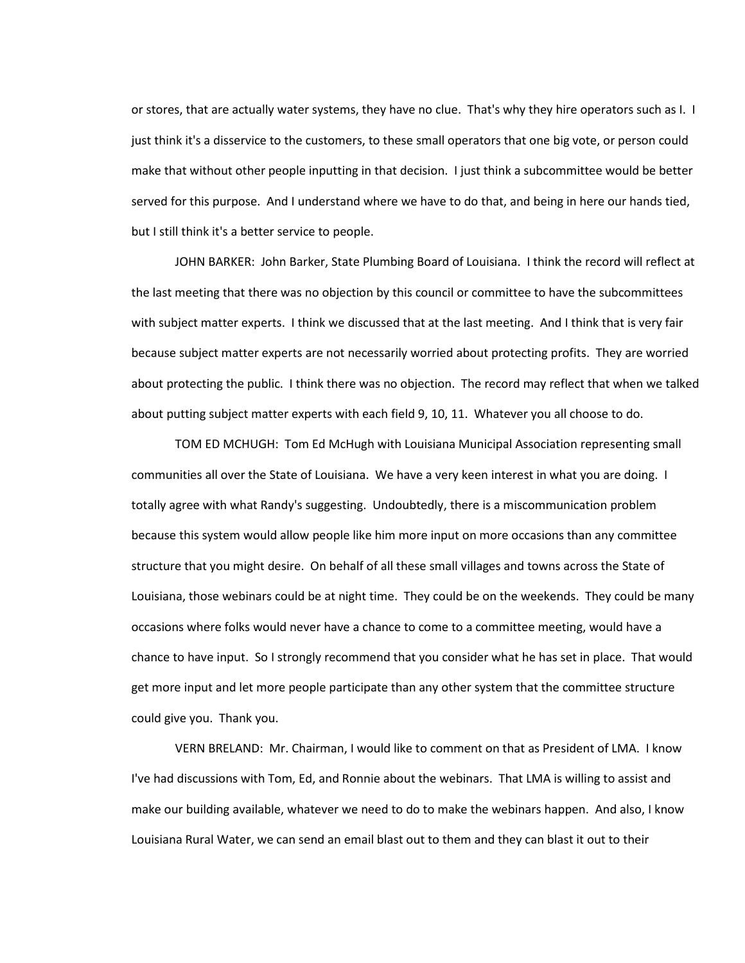or stores, that are actually water systems, they have no clue. That's why they hire operators such as I. I just think it's a disservice to the customers, to these small operators that one big vote, or person could make that without other people inputting in that decision. I just think a subcommittee would be better served for this purpose. And I understand where we have to do that, and being in here our hands tied, but I still think it's a better service to people.

JOHN BARKER: John Barker, State Plumbing Board of Louisiana. I think the record will reflect at the last meeting that there was no objection by this council or committee to have the subcommittees with subject matter experts. I think we discussed that at the last meeting. And I think that is very fair because subject matter experts are not necessarily worried about protecting profits. They are worried about protecting the public. I think there was no objection. The record may reflect that when we talked about putting subject matter experts with each field 9, 10, 11. Whatever you all choose to do.

TOM ED MCHUGH: Tom Ed McHugh with Louisiana Municipal Association representing small communities all over the State of Louisiana. We have a very keen interest in what you are doing. I totally agree with what Randy's suggesting. Undoubtedly, there is a miscommunication problem because this system would allow people like him more input on more occasions than any committee structure that you might desire. On behalf of all these small villages and towns across the State of Louisiana, those webinars could be at night time. They could be on the weekends. They could be many occasions where folks would never have a chance to come to a committee meeting, would have a chance to have input. So I strongly recommend that you consider what he has set in place. That would get more input and let more people participate than any other system that the committee structure could give you. Thank you.

VERN BRELAND: Mr. Chairman, I would like to comment on that as President of LMA. I know I've had discussions with Tom, Ed, and Ronnie about the webinars. That LMA is willing to assist and make our building available, whatever we need to do to make the webinars happen. And also, I know Louisiana Rural Water, we can send an email blast out to them and they can blast it out to their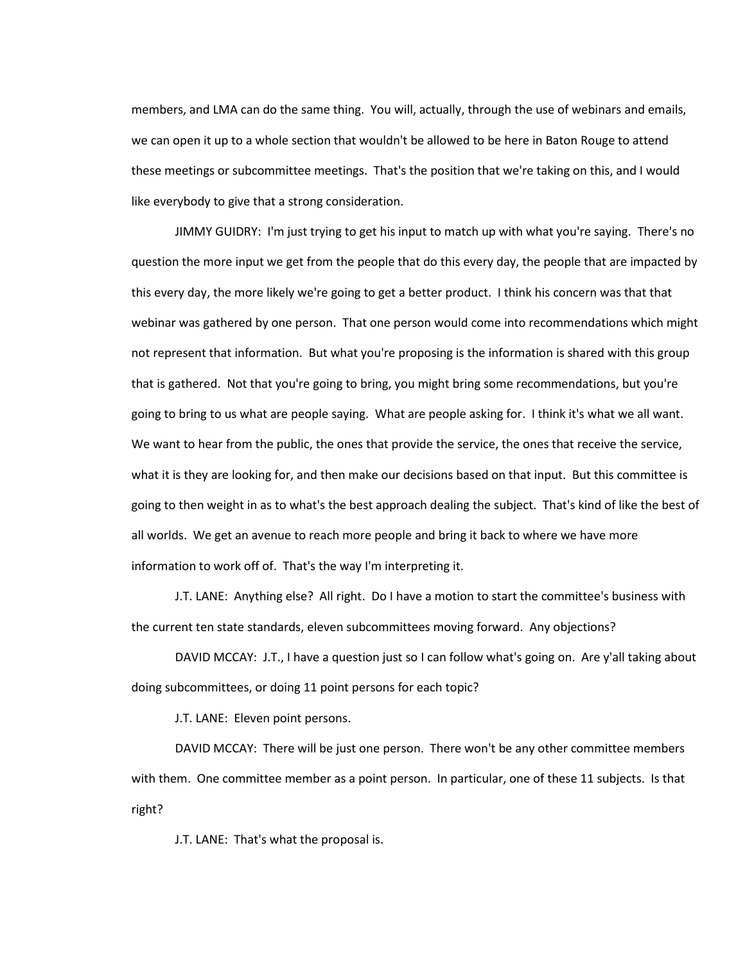members, and LMA can do the same thing. You will, actually, through the use of webinars and emails, we can open it up to a whole section that wouldn't be allowed to be here in Baton Rouge to attend these meetings or subcommittee meetings. That's the position that we're taking on this, and I would like everybody to give that a strong consideration.

JIMMY GUIDRY: I'm just trying to get his input to match up with what you're saying. There's no question the more input we get from the people that do this every day, the people that are impacted by this every day, the more likely we're going to get a better product. I think his concern was that that webinar was gathered by one person. That one person would come into recommendations which might not represent that information. But what you're proposing is the information is shared with this group that is gathered. Not that you're going to bring, you might bring some recommendations, but you're going to bring to us what are people saying. What are people asking for. I think it's what we all want. We want to hear from the public, the ones that provide the service, the ones that receive the service, what it is they are looking for, and then make our decisions based on that input. But this committee is going to then weight in as to what's the best approach dealing the subject. That's kind of like the best of all worlds. We get an avenue to reach more people and bring it back to where we have more information to work off of. That's the way I'm interpreting it.

J.T. LANE: Anything else? All right. Do I have a motion to start the committee's business with the current ten state standards, eleven subcommittees moving forward. Any objections?

DAVID MCCAY: J.T., I have a question just so I can follow what's going on. Are y'all taking about doing subcommittees, or doing 11 point persons for each topic?

J.T. LANE: Eleven point persons.

DAVID MCCAY: There will be just one person. There won't be any other committee members with them. One committee member as a point person. In particular, one of these 11 subjects. Is that right?

J.T. LANE: That's what the proposal is.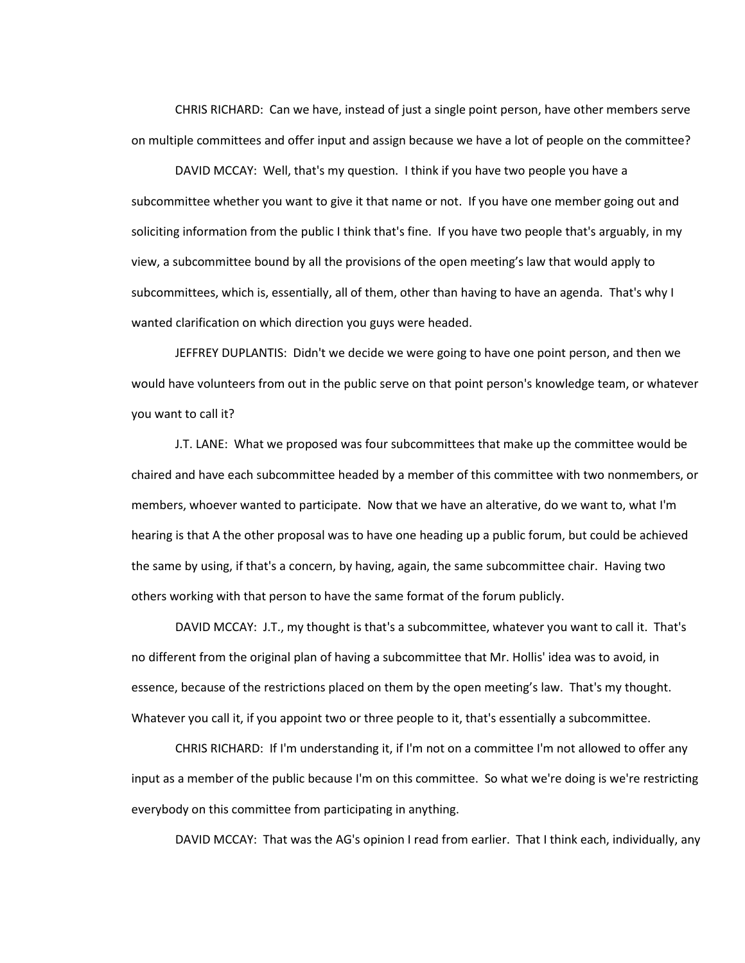CHRIS RICHARD: Can we have, instead of just a single point person, have other members serve on multiple committees and offer input and assign because we have a lot of people on the committee?

DAVID MCCAY: Well, that's my question. I think if you have two people you have a subcommittee whether you want to give it that name or not. If you have one member going out and soliciting information from the public I think that's fine. If you have two people that's arguably, in my view, a subcommittee bound by all the provisions of the open meeting's law that would apply to subcommittees, which is, essentially, all of them, other than having to have an agenda. That's why I wanted clarification on which direction you guys were headed.

JEFFREY DUPLANTIS: Didn't we decide we were going to have one point person, and then we would have volunteers from out in the public serve on that point person's knowledge team, or whatever you want to call it?

J.T. LANE: What we proposed was four subcommittees that make up the committee would be chaired and have each subcommittee headed by a member of this committee with two nonmembers, or members, whoever wanted to participate. Now that we have an alterative, do we want to, what I'm hearing is that A the other proposal was to have one heading up a public forum, but could be achieved the same by using, if that's a concern, by having, again, the same subcommittee chair. Having two others working with that person to have the same format of the forum publicly.

DAVID MCCAY: J.T., my thought is that's a subcommittee, whatever you want to call it. That's no different from the original plan of having a subcommittee that Mr. Hollis' idea was to avoid, in essence, because of the restrictions placed on them by the open meeting's law. That's my thought. Whatever you call it, if you appoint two or three people to it, that's essentially a subcommittee.

CHRIS RICHARD: If I'm understanding it, if I'm not on a committee I'm not allowed to offer any input as a member of the public because I'm on this committee. So what we're doing is we're restricting everybody on this committee from participating in anything.

DAVID MCCAY: That was the AG's opinion I read from earlier. That I think each, individually, any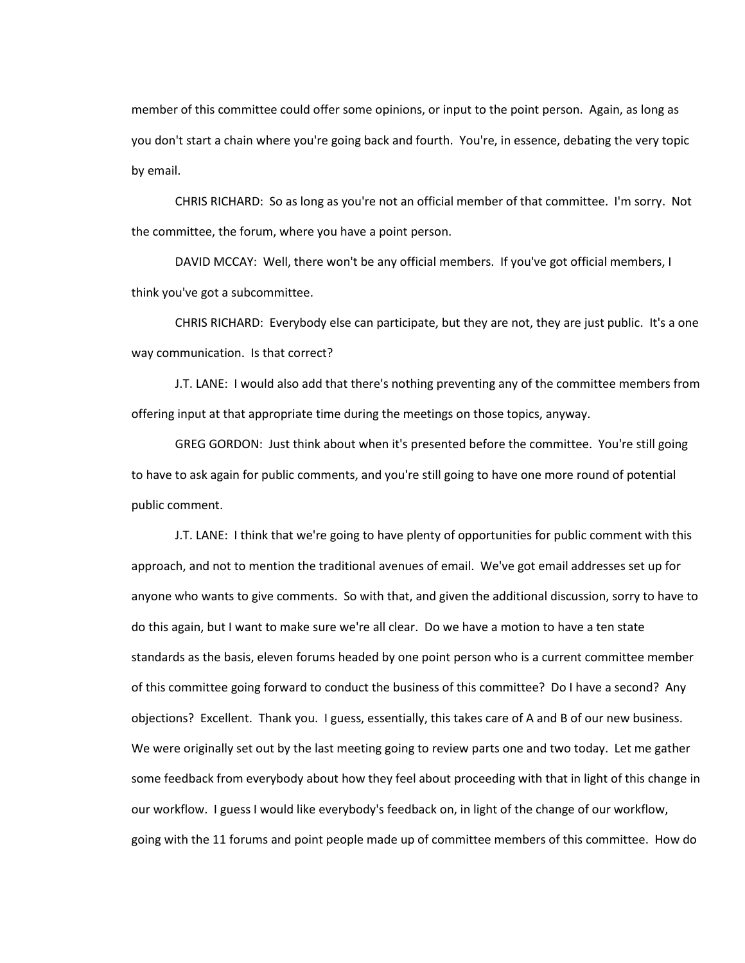member of this committee could offer some opinions, or input to the point person. Again, as long as you don't start a chain where you're going back and fourth. You're, in essence, debating the very topic by email.

CHRIS RICHARD: So as long as you're not an official member of that committee. I'm sorry. Not the committee, the forum, where you have a point person.

DAVID MCCAY: Well, there won't be any official members. If you've got official members, I think you've got a subcommittee.

CHRIS RICHARD: Everybody else can participate, but they are not, they are just public. It's a one way communication. Is that correct?

J.T. LANE: I would also add that there's nothing preventing any of the committee members from offering input at that appropriate time during the meetings on those topics, anyway.

GREG GORDON: Just think about when it's presented before the committee. You're still going to have to ask again for public comments, and you're still going to have one more round of potential public comment.

J.T. LANE: I think that we're going to have plenty of opportunities for public comment with this approach, and not to mention the traditional avenues of email. We've got email addresses set up for anyone who wants to give comments. So with that, and given the additional discussion, sorry to have to do this again, but I want to make sure we're all clear. Do we have a motion to have a ten state standards as the basis, eleven forums headed by one point person who is a current committee member of this committee going forward to conduct the business of this committee? Do I have a second? Any objections? Excellent. Thank you. I guess, essentially, this takes care of A and B of our new business. We were originally set out by the last meeting going to review parts one and two today. Let me gather some feedback from everybody about how they feel about proceeding with that in light of this change in our workflow. I guess I would like everybody's feedback on, in light of the change of our workflow, going with the 11 forums and point people made up of committee members of this committee. How do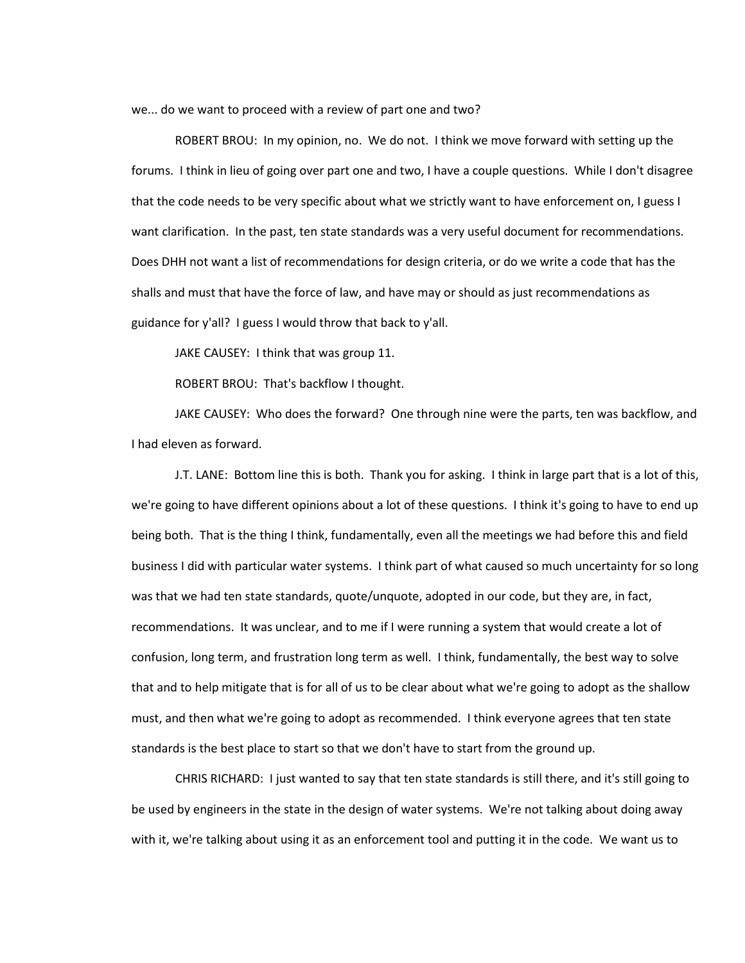we... do we want to proceed with a review of part one and two?

ROBERT BROU: In my opinion, no. We do not. I think we move forward with setting up the forums. I think in lieu of going over part one and two, I have a couple questions. While I don't disagree that the code needs to be very specific about what we strictly want to have enforcement on, I guess I want clarification. In the past, ten state standards was a very useful document for recommendations. Does DHH not want a list of recommendations for design criteria, or do we write a code that has the shalls and must that have the force of law, and have may or should as just recommendations as guidance for y'all? I guess I would throw that back to y'all.

JAKE CAUSEY: I think that was group 11.

ROBERT BROU: That's backflow I thought.

JAKE CAUSEY: Who does the forward? One through nine were the parts, ten was backflow, and I had eleven as forward.

J.T. LANE: Bottom line this is both. Thank you for asking. I think in large part that is a lot of this, we're going to have different opinions about a lot of these questions. I think it's going to have to end up being both. That is the thing I think, fundamentally, even all the meetings we had before this and field business I did with particular water systems. I think part of what caused so much uncertainty for so long was that we had ten state standards, quote/unquote, adopted in our code, but they are, in fact, recommendations. It was unclear, and to me if I were running a system that would create a lot of confusion, long term, and frustration long term as well. I think, fundamentally, the best way to solve that and to help mitigate that is for all of us to be clear about what we're going to adopt as the shallow must, and then what we're going to adopt as recommended. I think everyone agrees that ten state standards is the best place to start so that we don't have to start from the ground up.

CHRIS RICHARD: I just wanted to say that ten state standards is still there, and it's still going to be used by engineers in the state in the design of water systems. We're not talking about doing away with it, we're talking about using it as an enforcement tool and putting it in the code. We want us to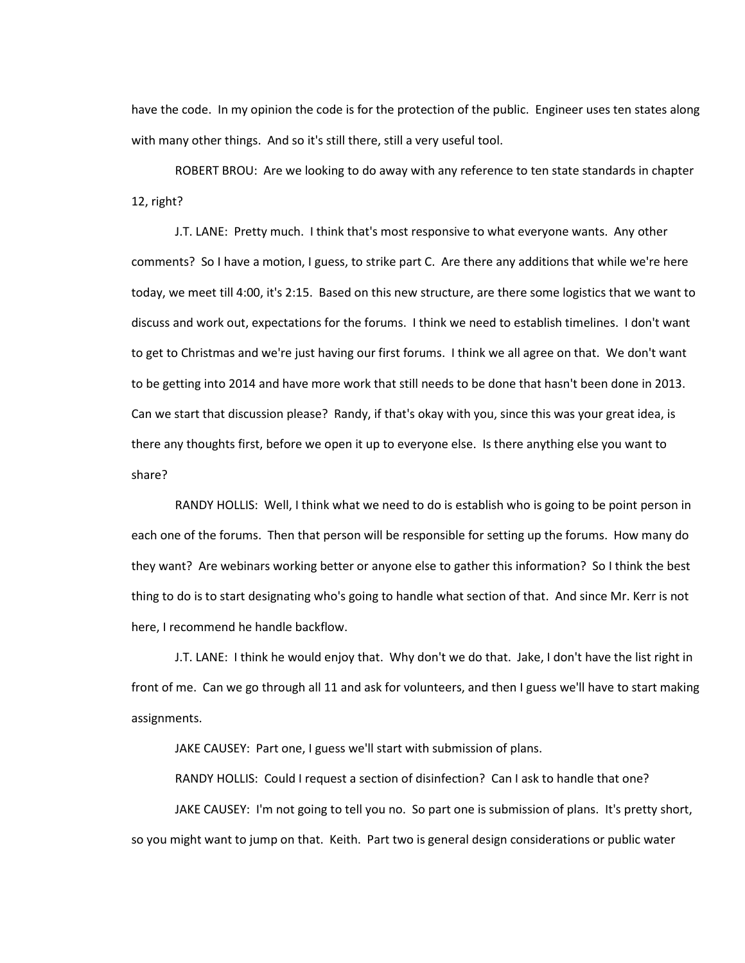have the code. In my opinion the code is for the protection of the public. Engineer uses ten states along with many other things. And so it's still there, still a very useful tool.

ROBERT BROU: Are we looking to do away with any reference to ten state standards in chapter 12, right?

J.T. LANE: Pretty much. I think that's most responsive to what everyone wants. Any other comments? So I have a motion, I guess, to strike part C. Are there any additions that while we're here today, we meet till 4:00, it's 2:15. Based on this new structure, are there some logistics that we want to discuss and work out, expectations for the forums. I think we need to establish timelines. I don't want to get to Christmas and we're just having our first forums. I think we all agree on that. We don't want to be getting into 2014 and have more work that still needs to be done that hasn't been done in 2013. Can we start that discussion please? Randy, if that's okay with you, since this was your great idea, is there any thoughts first, before we open it up to everyone else. Is there anything else you want to share?

RANDY HOLLIS: Well, I think what we need to do is establish who is going to be point person in each one of the forums. Then that person will be responsible for setting up the forums. How many do they want? Are webinars working better or anyone else to gather this information? So I think the best thing to do is to start designating who's going to handle what section of that. And since Mr. Kerr is not here, I recommend he handle backflow.

J.T. LANE: I think he would enjoy that. Why don't we do that. Jake, I don't have the list right in front of me. Can we go through all 11 and ask for volunteers, and then I guess we'll have to start making assignments.

JAKE CAUSEY: Part one, I guess we'll start with submission of plans.

RANDY HOLLIS: Could I request a section of disinfection? Can I ask to handle that one?

JAKE CAUSEY: I'm not going to tell you no. So part one is submission of plans. It's pretty short, so you might want to jump on that. Keith. Part two is general design considerations or public water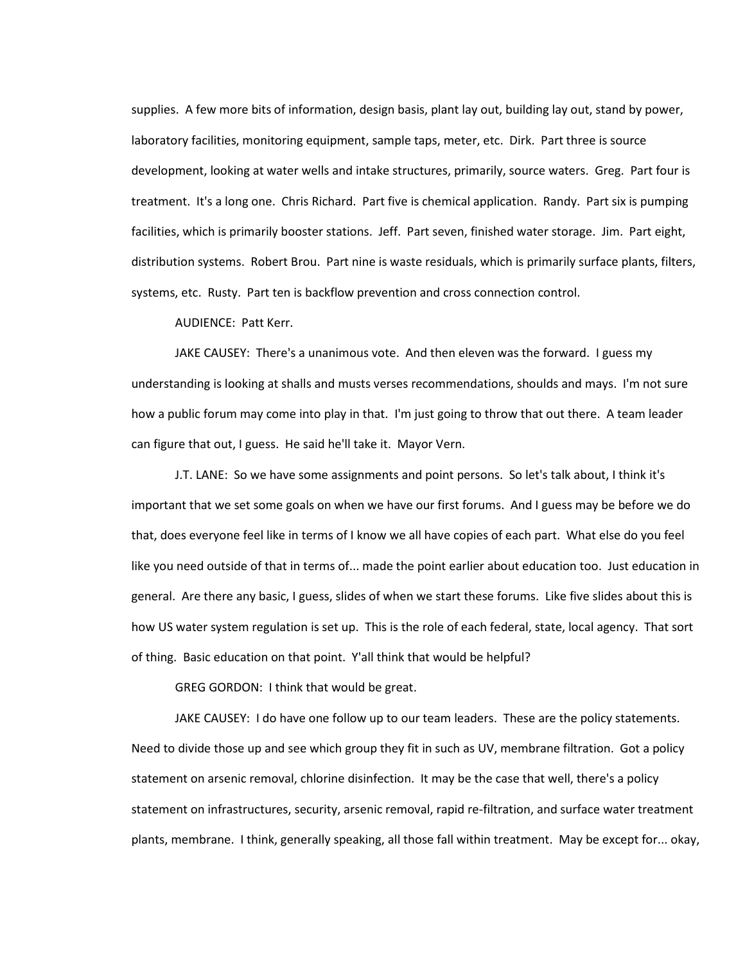supplies. A few more bits of information, design basis, plant lay out, building lay out, stand by power, laboratory facilities, monitoring equipment, sample taps, meter, etc. Dirk. Part three is source development, looking at water wells and intake structures, primarily, source waters. Greg. Part four is treatment. It's a long one. Chris Richard. Part five is chemical application. Randy. Part six is pumping facilities, which is primarily booster stations. Jeff. Part seven, finished water storage. Jim. Part eight, distribution systems. Robert Brou. Part nine is waste residuals, which is primarily surface plants, filters, systems, etc. Rusty. Part ten is backflow prevention and cross connection control.

AUDIENCE: Patt Kerr.

JAKE CAUSEY: There's a unanimous vote. And then eleven was the forward. I guess my understanding is looking at shalls and musts verses recommendations, shoulds and mays. I'm not sure how a public forum may come into play in that. I'm just going to throw that out there. A team leader can figure that out, I guess. He said he'll take it. Mayor Vern.

J.T. LANE: So we have some assignments and point persons. So let's talk about, I think it's important that we set some goals on when we have our first forums. And I guess may be before we do that, does everyone feel like in terms of I know we all have copies of each part. What else do you feel like you need outside of that in terms of... made the point earlier about education too. Just education in general. Are there any basic, I guess, slides of when we start these forums. Like five slides about this is how US water system regulation is set up. This is the role of each federal, state, local agency. That sort of thing. Basic education on that point. Y'all think that would be helpful?

GREG GORDON: I think that would be great.

JAKE CAUSEY: I do have one follow up to our team leaders. These are the policy statements. Need to divide those up and see which group they fit in such as UV, membrane filtration. Got a policy statement on arsenic removal, chlorine disinfection. It may be the case that well, there's a policy statement on infrastructures, security, arsenic removal, rapid re-filtration, and surface water treatment plants, membrane. I think, generally speaking, all those fall within treatment. May be except for... okay,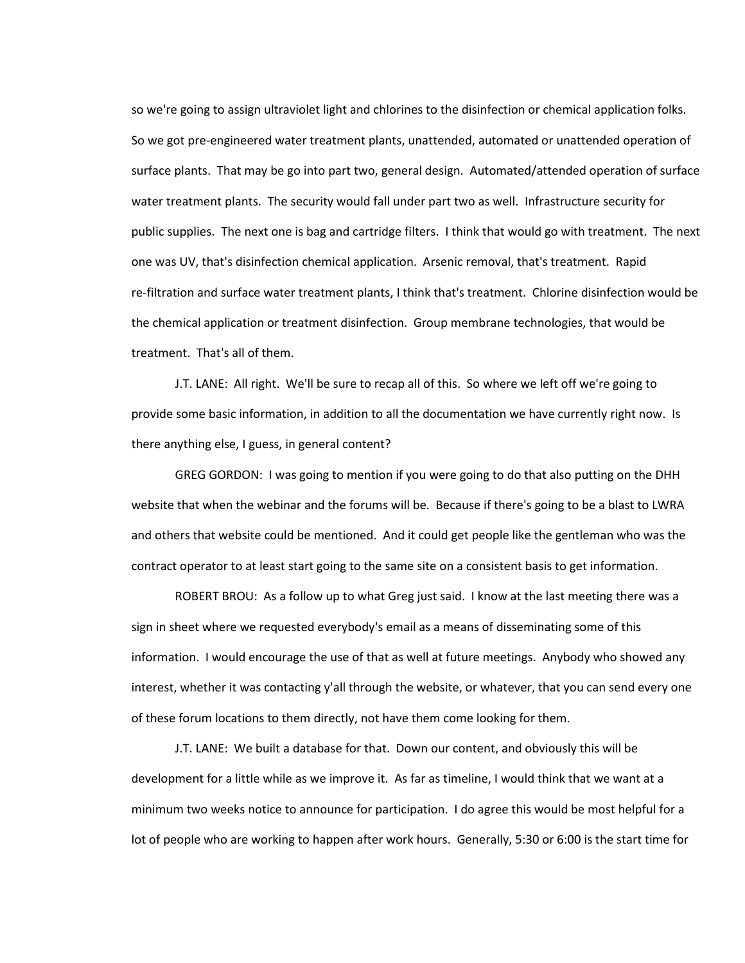so we're going to assign ultraviolet light and chlorines to the disinfection or chemical application folks. So we got pre-engineered water treatment plants, unattended, automated or unattended operation of surface plants. That may be go into part two, general design. Automated/attended operation of surface water treatment plants. The security would fall under part two as well. Infrastructure security for public supplies. The next one is bag and cartridge filters. I think that would go with treatment. The next one was UV, that's disinfection chemical application. Arsenic removal, that's treatment. Rapid re-filtration and surface water treatment plants, I think that's treatment. Chlorine disinfection would be the chemical application or treatment disinfection. Group membrane technologies, that would be treatment. That's all of them.

J.T. LANE: All right. We'll be sure to recap all of this. So where we left off we're going to provide some basic information, in addition to all the documentation we have currently right now. Is there anything else, I guess, in general content?

GREG GORDON: I was going to mention if you were going to do that also putting on the DHH website that when the webinar and the forums will be. Because if there's going to be a blast to LWRA and others that website could be mentioned. And it could get people like the gentleman who was the contract operator to at least start going to the same site on a consistent basis to get information.

ROBERT BROU: As a follow up to what Greg just said. I know at the last meeting there was a sign in sheet where we requested everybody's email as a means of disseminating some of this information. I would encourage the use of that as well at future meetings. Anybody who showed any interest, whether it was contacting y'all through the website, or whatever, that you can send every one of these forum locations to them directly, not have them come looking for them.

J.T. LANE: We built a database for that. Down our content, and obviously this will be development for a little while as we improve it. As far as timeline, I would think that we want at a minimum two weeks notice to announce for participation. I do agree this would be most helpful for a lot of people who are working to happen after work hours. Generally, 5:30 or 6:00 is the start time for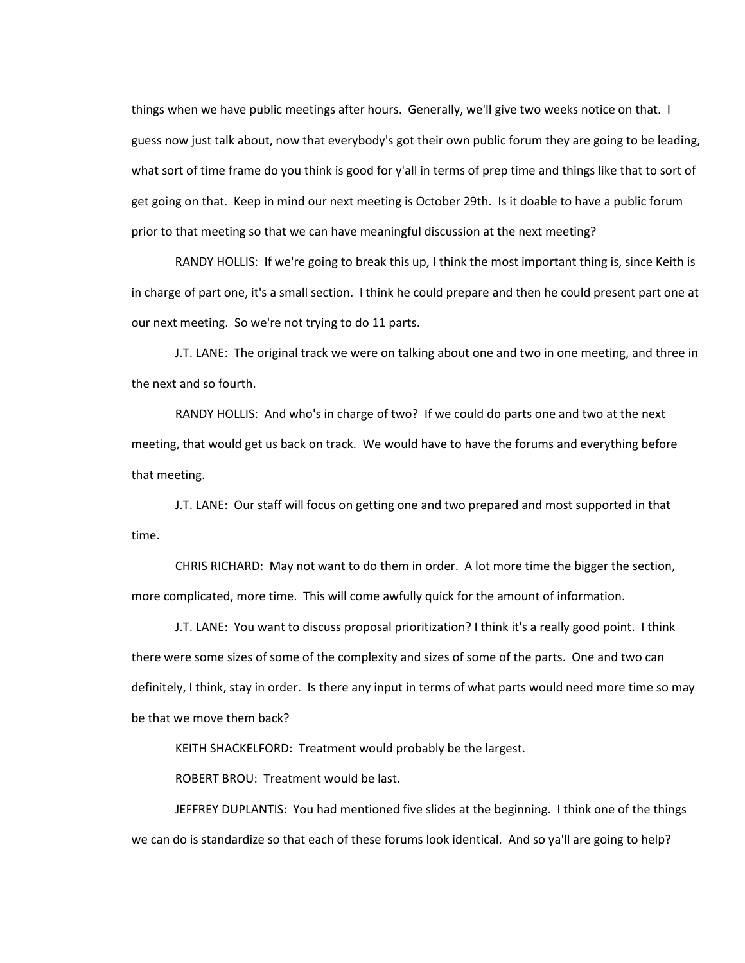things when we have public meetings after hours. Generally, we'll give two weeks notice on that. I guess now just talk about, now that everybody's got their own public forum they are going to be leading, what sort of time frame do you think is good for y'all in terms of prep time and things like that to sort of get going on that. Keep in mind our next meeting is October 29th. Is it doable to have a public forum prior to that meeting so that we can have meaningful discussion at the next meeting?

RANDY HOLLIS: If we're going to break this up, I think the most important thing is, since Keith is in charge of part one, it's a small section. I think he could prepare and then he could present part one at our next meeting. So we're not trying to do 11 parts.

J.T. LANE: The original track we were on talking about one and two in one meeting, and three in the next and so fourth.

RANDY HOLLIS: And who's in charge of two? If we could do parts one and two at the next meeting, that would get us back on track. We would have to have the forums and everything before that meeting.

J.T. LANE: Our staff will focus on getting one and two prepared and most supported in that time.

CHRIS RICHARD: May not want to do them in order. A lot more time the bigger the section, more complicated, more time. This will come awfully quick for the amount of information.

J.T. LANE: You want to discuss proposal prioritization? I think it's a really good point. I think there were some sizes of some of the complexity and sizes of some of the parts. One and two can definitely, I think, stay in order. Is there any input in terms of what parts would need more time so may be that we move them back?

KEITH SHACKELFORD: Treatment would probably be the largest.

ROBERT BROU: Treatment would be last.

JEFFREY DUPLANTIS: You had mentioned five slides at the beginning. I think one of the things we can do is standardize so that each of these forums look identical. And so ya'll are going to help?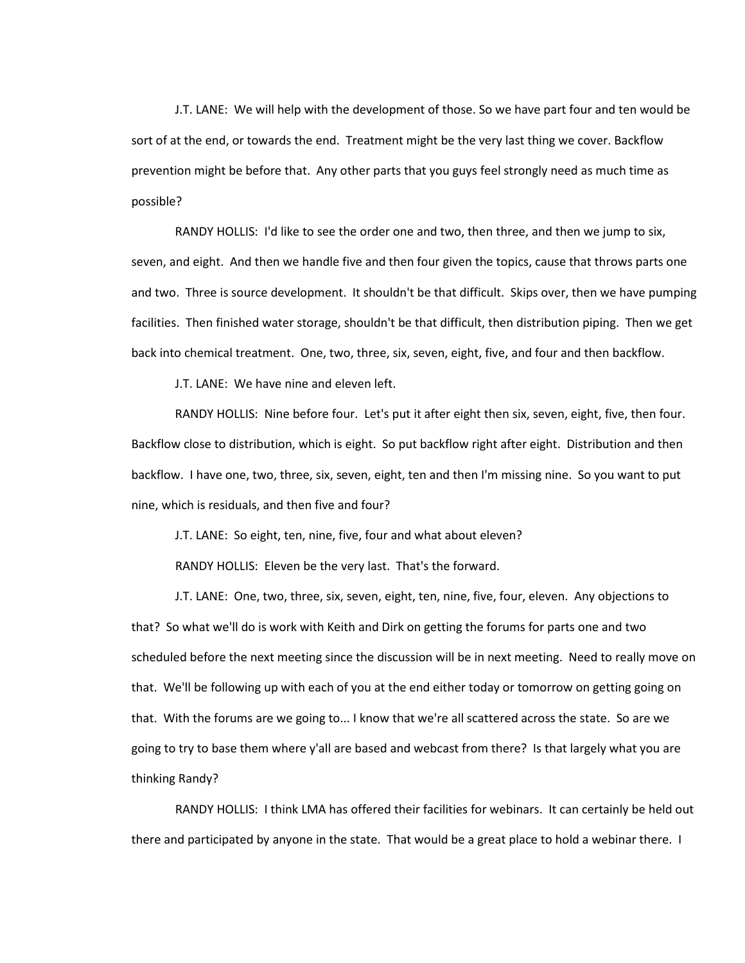J.T. LANE: We will help with the development of those. So we have part four and ten would be sort of at the end, or towards the end. Treatment might be the very last thing we cover. Backflow prevention might be before that. Any other parts that you guys feel strongly need as much time as possible?

RANDY HOLLIS: I'd like to see the order one and two, then three, and then we jump to six, seven, and eight. And then we handle five and then four given the topics, cause that throws parts one and two. Three is source development. It shouldn't be that difficult. Skips over, then we have pumping facilities. Then finished water storage, shouldn't be that difficult, then distribution piping. Then we get back into chemical treatment. One, two, three, six, seven, eight, five, and four and then backflow.

J.T. LANE: We have nine and eleven left.

RANDY HOLLIS: Nine before four. Let's put it after eight then six, seven, eight, five, then four. Backflow close to distribution, which is eight. So put backflow right after eight. Distribution and then backflow. I have one, two, three, six, seven, eight, ten and then I'm missing nine. So you want to put nine, which is residuals, and then five and four?

J.T. LANE: So eight, ten, nine, five, four and what about eleven?

RANDY HOLLIS: Eleven be the very last. That's the forward.

J.T. LANE: One, two, three, six, seven, eight, ten, nine, five, four, eleven. Any objections to that? So what we'll do is work with Keith and Dirk on getting the forums for parts one and two scheduled before the next meeting since the discussion will be in next meeting. Need to really move on that. We'll be following up with each of you at the end either today or tomorrow on getting going on that. With the forums are we going to... I know that we're all scattered across the state. So are we going to try to base them where y'all are based and webcast from there? Is that largely what you are thinking Randy?

RANDY HOLLIS: I think LMA has offered their facilities for webinars. It can certainly be held out there and participated by anyone in the state. That would be a great place to hold a webinar there. I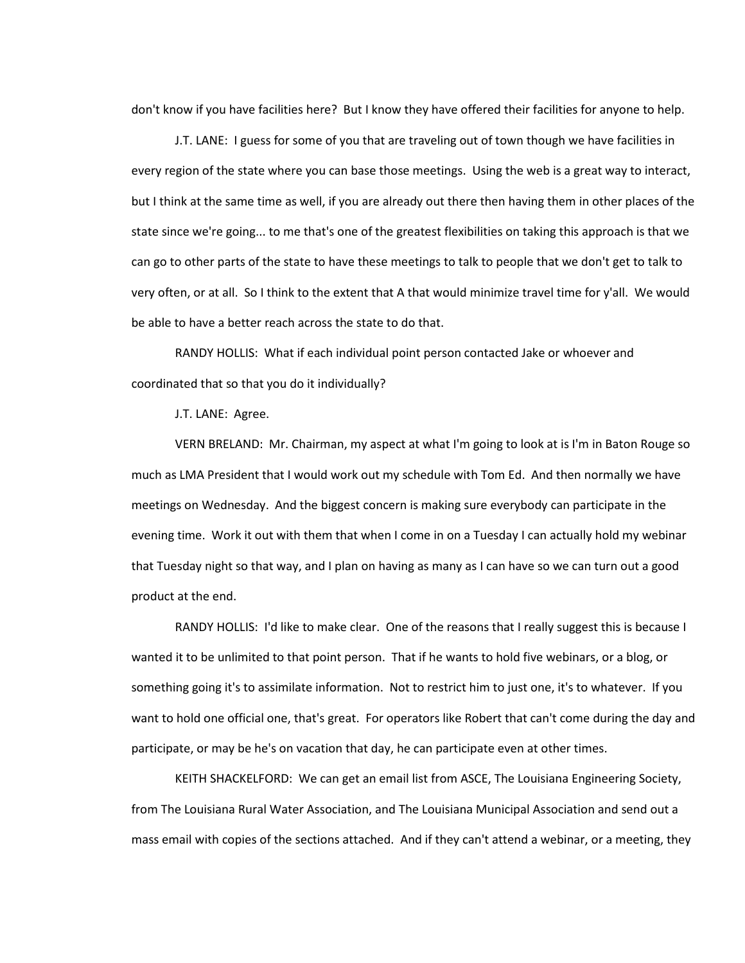don't know if you have facilities here? But I know they have offered their facilities for anyone to help.

J.T. LANE: I guess for some of you that are traveling out of town though we have facilities in every region of the state where you can base those meetings. Using the web is a great way to interact, but I think at the same time as well, if you are already out there then having them in other places of the state since we're going... to me that's one of the greatest flexibilities on taking this approach is that we can go to other parts of the state to have these meetings to talk to people that we don't get to talk to very often, or at all. So I think to the extent that A that would minimize travel time for y'all. We would be able to have a better reach across the state to do that.

RANDY HOLLIS: What if each individual point person contacted Jake or whoever and coordinated that so that you do it individually?

J.T. LANE: Agree.

VERN BRELAND: Mr. Chairman, my aspect at what I'm going to look at is I'm in Baton Rouge so much as LMA President that I would work out my schedule with Tom Ed. And then normally we have meetings on Wednesday. And the biggest concern is making sure everybody can participate in the evening time. Work it out with them that when I come in on a Tuesday I can actually hold my webinar that Tuesday night so that way, and I plan on having as many as I can have so we can turn out a good product at the end.

RANDY HOLLIS: I'd like to make clear. One of the reasons that I really suggest this is because I wanted it to be unlimited to that point person. That if he wants to hold five webinars, or a blog, or something going it's to assimilate information. Not to restrict him to just one, it's to whatever. If you want to hold one official one, that's great. For operators like Robert that can't come during the day and participate, or may be he's on vacation that day, he can participate even at other times.

KEITH SHACKELFORD: We can get an email list from ASCE, The Louisiana Engineering Society, from The Louisiana Rural Water Association, and The Louisiana Municipal Association and send out a mass email with copies of the sections attached. And if they can't attend a webinar, or a meeting, they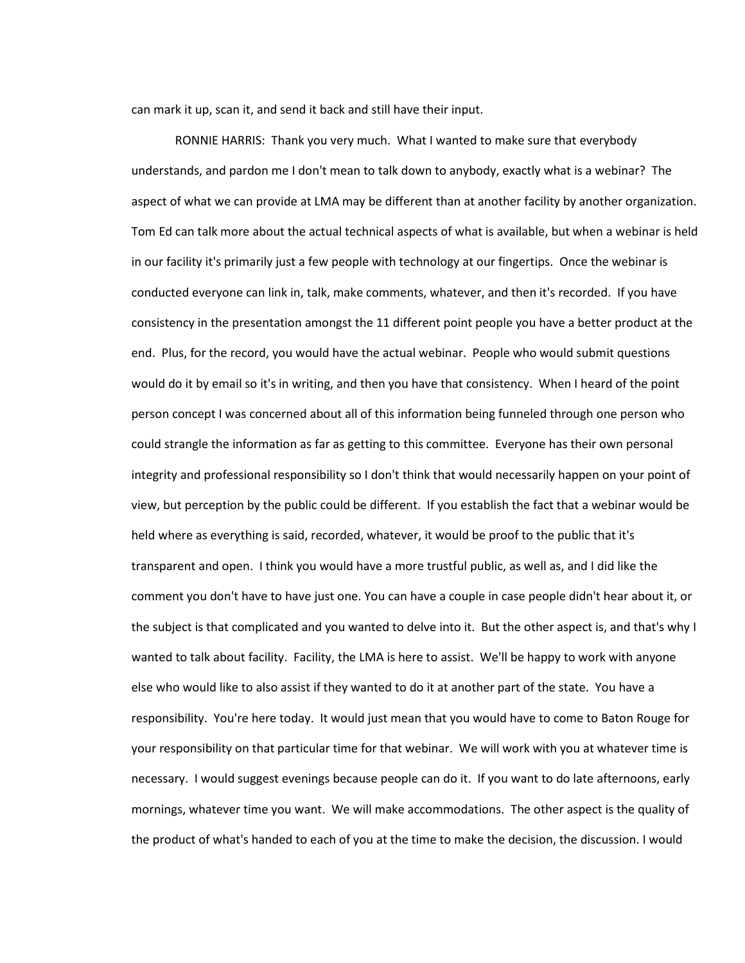can mark it up, scan it, and send it back and still have their input.

RONNIE HARRIS: Thank you very much. What I wanted to make sure that everybody understands, and pardon me I don't mean to talk down to anybody, exactly what is a webinar? The aspect of what we can provide at LMA may be different than at another facility by another organization. Tom Ed can talk more about the actual technical aspects of what is available, but when a webinar is held in our facility it's primarily just a few people with technology at our fingertips. Once the webinar is conducted everyone can link in, talk, make comments, whatever, and then it's recorded. If you have consistency in the presentation amongst the 11 different point people you have a better product at the end. Plus, for the record, you would have the actual webinar. People who would submit questions would do it by email so it's in writing, and then you have that consistency. When I heard of the point person concept I was concerned about all of this information being funneled through one person who could strangle the information as far as getting to this committee. Everyone has their own personal integrity and professional responsibility so I don't think that would necessarily happen on your point of view, but perception by the public could be different. If you establish the fact that a webinar would be held where as everything is said, recorded, whatever, it would be proof to the public that it's transparent and open. I think you would have a more trustful public, as well as, and I did like the comment you don't have to have just one. You can have a couple in case people didn't hear about it, or the subject is that complicated and you wanted to delve into it. But the other aspect is, and that's why I wanted to talk about facility. Facility, the LMA is here to assist. We'll be happy to work with anyone else who would like to also assist if they wanted to do it at another part of the state. You have a responsibility. You're here today. It would just mean that you would have to come to Baton Rouge for your responsibility on that particular time for that webinar. We will work with you at whatever time is necessary. I would suggest evenings because people can do it. If you want to do late afternoons, early mornings, whatever time you want. We will make accommodations. The other aspect is the quality of the product of what's handed to each of you at the time to make the decision, the discussion. I would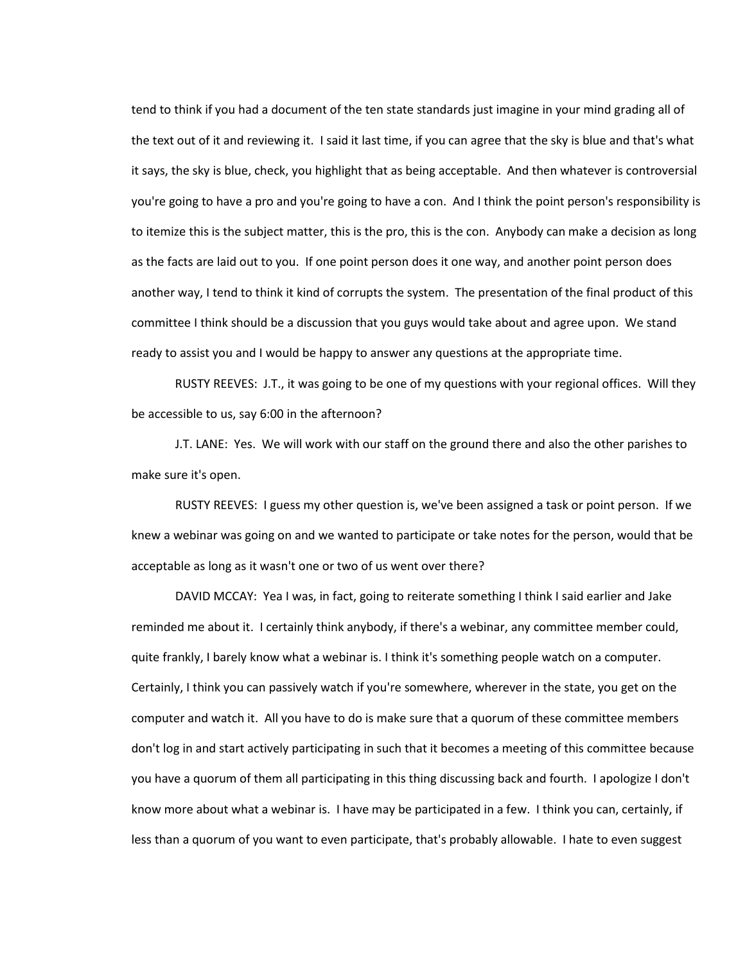tend to think if you had a document of the ten state standards just imagine in your mind grading all of the text out of it and reviewing it. I said it last time, if you can agree that the sky is blue and that's what it says, the sky is blue, check, you highlight that as being acceptable. And then whatever is controversial you're going to have a pro and you're going to have a con. And I think the point person's responsibility is to itemize this is the subject matter, this is the pro, this is the con. Anybody can make a decision as long as the facts are laid out to you. If one point person does it one way, and another point person does another way, I tend to think it kind of corrupts the system. The presentation of the final product of this committee I think should be a discussion that you guys would take about and agree upon. We stand ready to assist you and I would be happy to answer any questions at the appropriate time.

RUSTY REEVES: J.T., it was going to be one of my questions with your regional offices. Will they be accessible to us, say 6:00 in the afternoon?

J.T. LANE: Yes. We will work with our staff on the ground there and also the other parishes to make sure it's open.

RUSTY REEVES: I guess my other question is, we've been assigned a task or point person. If we knew a webinar was going on and we wanted to participate or take notes for the person, would that be acceptable as long as it wasn't one or two of us went over there?

DAVID MCCAY: Yea I was, in fact, going to reiterate something I think I said earlier and Jake reminded me about it. I certainly think anybody, if there's a webinar, any committee member could, quite frankly, I barely know what a webinar is. I think it's something people watch on a computer. Certainly, I think you can passively watch if you're somewhere, wherever in the state, you get on the computer and watch it. All you have to do is make sure that a quorum of these committee members don't log in and start actively participating in such that it becomes a meeting of this committee because you have a quorum of them all participating in this thing discussing back and fourth. I apologize I don't know more about what a webinar is. I have may be participated in a few. I think you can, certainly, if less than a quorum of you want to even participate, that's probably allowable. I hate to even suggest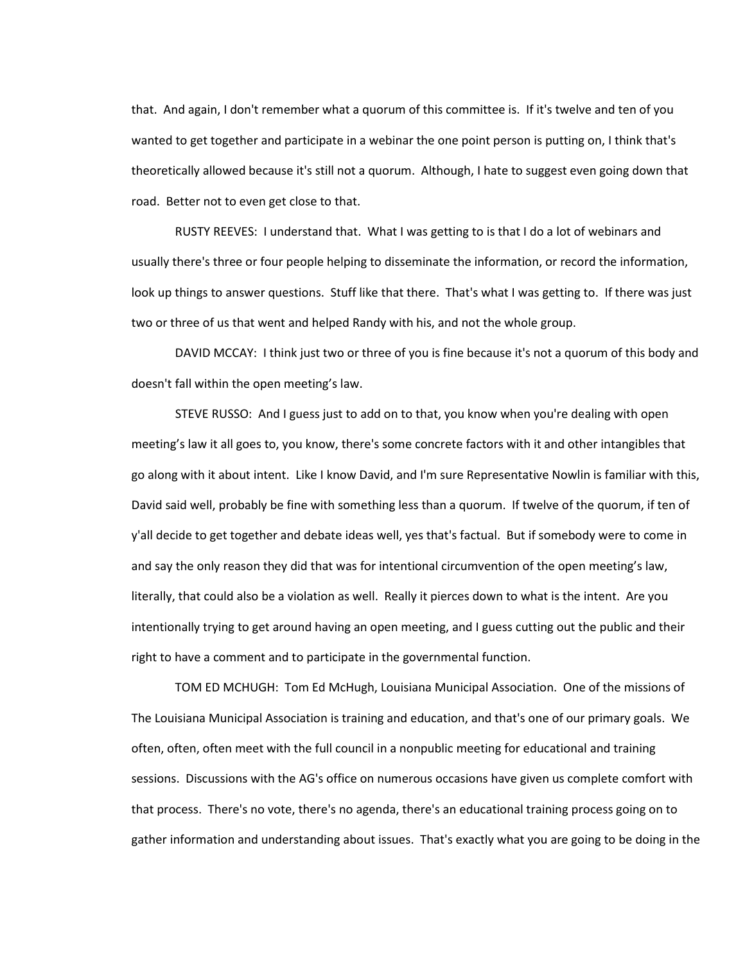that. And again, I don't remember what a quorum of this committee is. If it's twelve and ten of you wanted to get together and participate in a webinar the one point person is putting on, I think that's theoretically allowed because it's still not a quorum. Although, I hate to suggest even going down that road. Better not to even get close to that.

RUSTY REEVES: I understand that. What I was getting to is that I do a lot of webinars and usually there's three or four people helping to disseminate the information, or record the information, look up things to answer questions. Stuff like that there. That's what I was getting to. If there was just two or three of us that went and helped Randy with his, and not the whole group.

DAVID MCCAY: I think just two or three of you is fine because it's not a quorum of this body and doesn't fall within the open meeting's law.

STEVE RUSSO: And I guess just to add on to that, you know when you're dealing with open meeting's law it all goes to, you know, there's some concrete factors with it and other intangibles that go along with it about intent. Like I know David, and I'm sure Representative Nowlin is familiar with this, David said well, probably be fine with something less than a quorum. If twelve of the quorum, if ten of y'all decide to get together and debate ideas well, yes that's factual. But if somebody were to come in and say the only reason they did that was for intentional circumvention of the open meeting's law, literally, that could also be a violation as well. Really it pierces down to what is the intent. Are you intentionally trying to get around having an open meeting, and I guess cutting out the public and their right to have a comment and to participate in the governmental function.

TOM ED MCHUGH: Tom Ed McHugh, Louisiana Municipal Association. One of the missions of The Louisiana Municipal Association is training and education, and that's one of our primary goals. We often, often, often meet with the full council in a nonpublic meeting for educational and training sessions. Discussions with the AG's office on numerous occasions have given us complete comfort with that process. There's no vote, there's no agenda, there's an educational training process going on to gather information and understanding about issues. That's exactly what you are going to be doing in the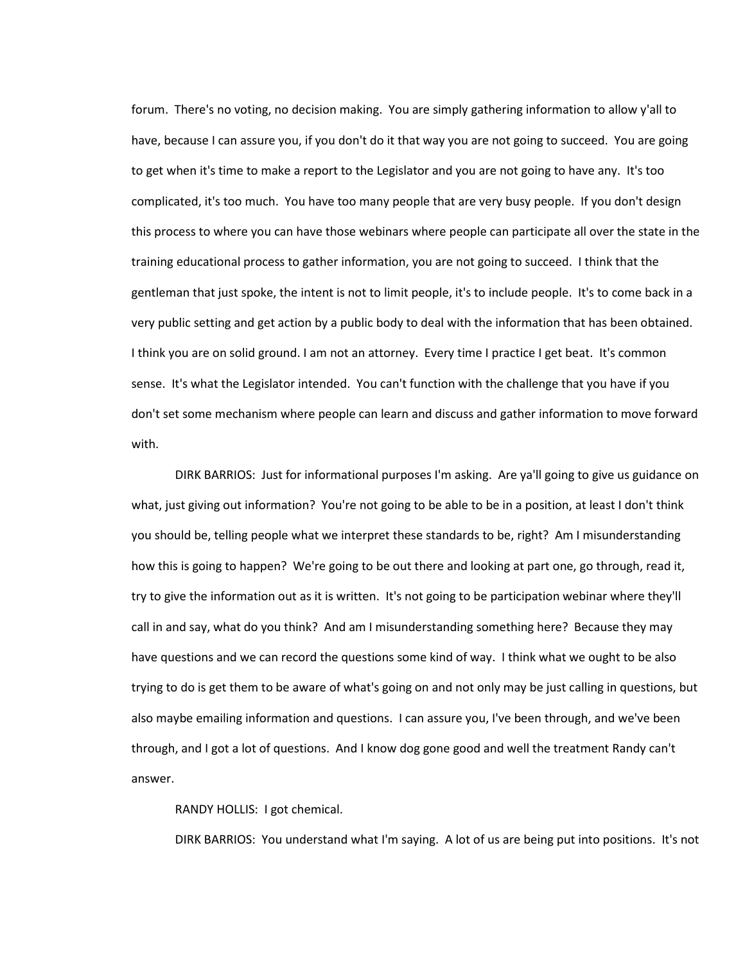forum. There's no voting, no decision making. You are simply gathering information to allow y'all to have, because I can assure you, if you don't do it that way you are not going to succeed. You are going to get when it's time to make a report to the Legislator and you are not going to have any. It's too complicated, it's too much. You have too many people that are very busy people. If you don't design this process to where you can have those webinars where people can participate all over the state in the training educational process to gather information, you are not going to succeed. I think that the gentleman that just spoke, the intent is not to limit people, it's to include people. It's to come back in a very public setting and get action by a public body to deal with the information that has been obtained. I think you are on solid ground. I am not an attorney. Every time I practice I get beat. It's common sense. It's what the Legislator intended. You can't function with the challenge that you have if you don't set some mechanism where people can learn and discuss and gather information to move forward with.

DIRK BARRIOS: Just for informational purposes I'm asking. Are ya'll going to give us guidance on what, just giving out information? You're not going to be able to be in a position, at least I don't think you should be, telling people what we interpret these standards to be, right? Am I misunderstanding how this is going to happen? We're going to be out there and looking at part one, go through, read it, try to give the information out as it is written. It's not going to be participation webinar where they'll call in and say, what do you think? And am I misunderstanding something here? Because they may have questions and we can record the questions some kind of way. I think what we ought to be also trying to do is get them to be aware of what's going on and not only may be just calling in questions, but also maybe emailing information and questions. I can assure you, I've been through, and we've been through, and I got a lot of questions. And I know dog gone good and well the treatment Randy can't answer.

RANDY HOLLIS: I got chemical.

DIRK BARRIOS: You understand what I'm saying. A lot of us are being put into positions. It's not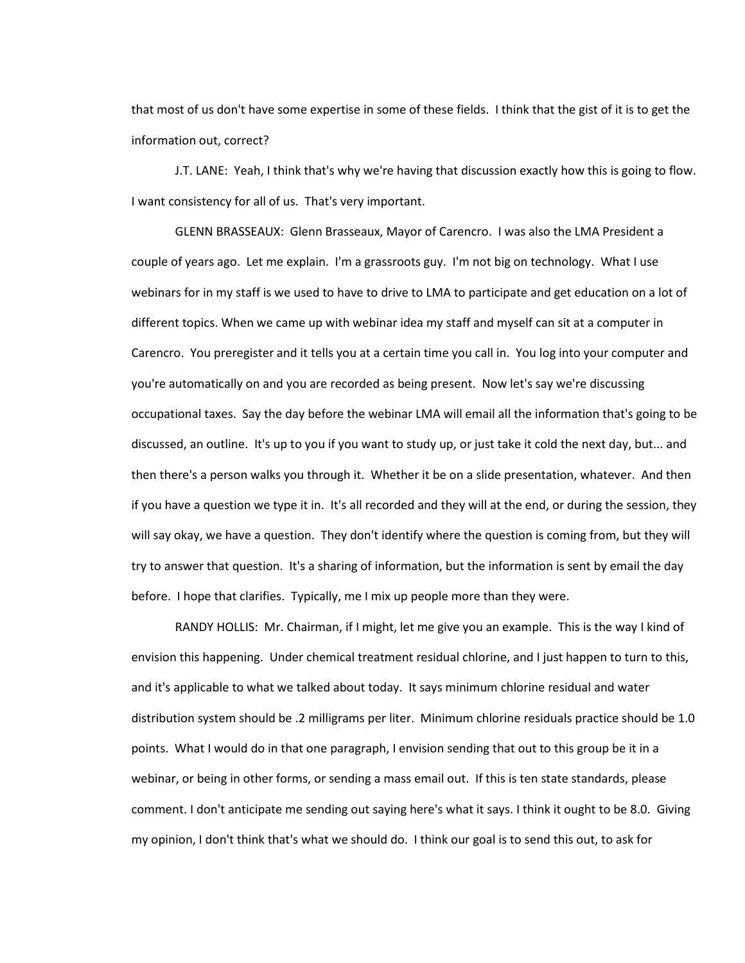that most of us don't have some expertise in some of these fields. I think that the gist of it is to get the information out, correct?

J.T. LANE: Yeah, I think that's why we're having that discussion exactly how this is going to flow. I want consistency for all of us. That's very important.

GLENN BRASSEAUX: Glenn Brasseaux, Mayor of Carencro. I was also the LMA President a couple of years ago. Let me explain. I'm a grassroots guy. I'm not big on technology. What I use webinars for in my staff is we used to have to drive to LMA to participate and get education on a lot of different topics. When we came up with webinar idea my staff and myself can sit at a computer in Carencro. You preregister and it tells you at a certain time you call in. You log into your computer and you're automatically on and you are recorded as being present. Now let's say we're discussing occupational taxes. Say the day before the webinar LMA will email all the information that's going to be discussed, an outline. It's up to you if you want to study up, or just take it cold the next day, but... and then there's a person walks you through it. Whether it be on a slide presentation, whatever. And then if you have a question we type it in. It's all recorded and they will at the end, or during the session, they will say okay, we have a question. They don't identify where the question is coming from, but they will try to answer that question. It's a sharing of information, but the information is sent by email the day before. I hope that clarifies. Typically, me I mix up people more than they were.

RANDY HOLLIS: Mr. Chairman, if I might, let me give you an example. This is the way I kind of envision this happening. Under chemical treatment residual chlorine, and I just happen to turn to this, and it's applicable to what we talked about today. It says minimum chlorine residual and water distribution system should be .2 milligrams per liter. Minimum chlorine residuals practice should be 1.0 points. What I would do in that one paragraph, I envision sending that out to this group be it in a webinar, or being in other forms, or sending a mass email out. If this is ten state standards, please comment. I don't anticipate me sending out saying here's what it says. I think it ought to be 8.0. Giving my opinion, I don't think that's what we should do. I think our goal is to send this out, to ask for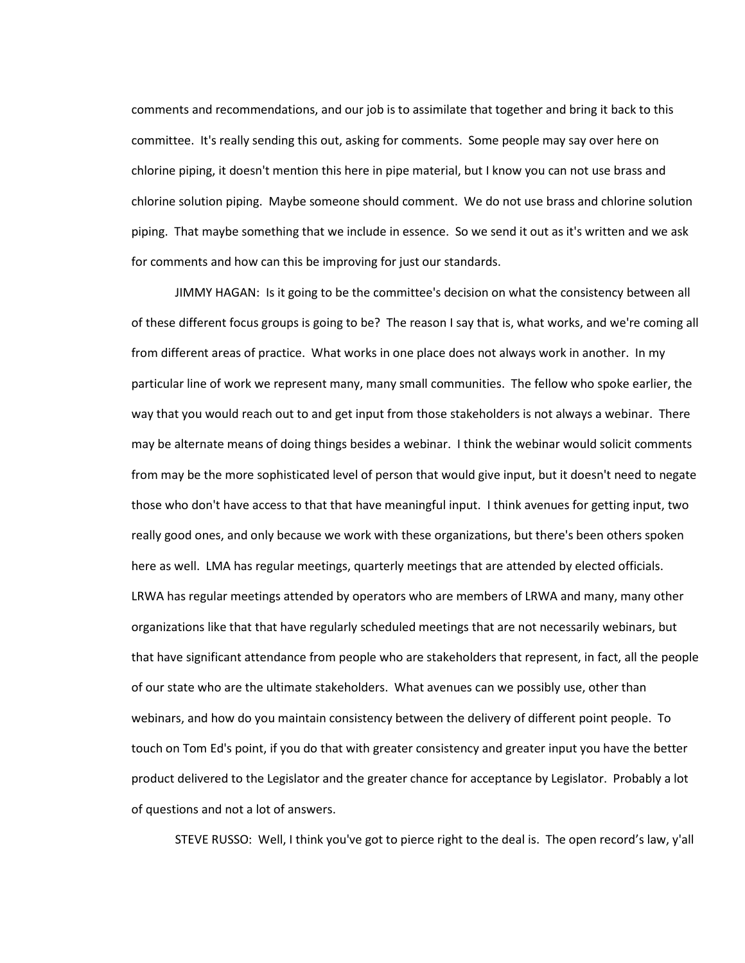comments and recommendations, and our job is to assimilate that together and bring it back to this committee. It's really sending this out, asking for comments. Some people may say over here on chlorine piping, it doesn't mention this here in pipe material, but I know you can not use brass and chlorine solution piping. Maybe someone should comment. We do not use brass and chlorine solution piping. That maybe something that we include in essence. So we send it out as it's written and we ask for comments and how can this be improving for just our standards.

JIMMY HAGAN: Is it going to be the committee's decision on what the consistency between all of these different focus groups is going to be? The reason I say that is, what works, and we're coming all from different areas of practice. What works in one place does not always work in another. In my particular line of work we represent many, many small communities. The fellow who spoke earlier, the way that you would reach out to and get input from those stakeholders is not always a webinar. There may be alternate means of doing things besides a webinar. I think the webinar would solicit comments from may be the more sophisticated level of person that would give input, but it doesn't need to negate those who don't have access to that that have meaningful input. I think avenues for getting input, two really good ones, and only because we work with these organizations, but there's been others spoken here as well. LMA has regular meetings, quarterly meetings that are attended by elected officials. LRWA has regular meetings attended by operators who are members of LRWA and many, many other organizations like that that have regularly scheduled meetings that are not necessarily webinars, but that have significant attendance from people who are stakeholders that represent, in fact, all the people of our state who are the ultimate stakeholders. What avenues can we possibly use, other than webinars, and how do you maintain consistency between the delivery of different point people. To touch on Tom Ed's point, if you do that with greater consistency and greater input you have the better product delivered to the Legislator and the greater chance for acceptance by Legislator. Probably a lot of questions and not a lot of answers.

STEVE RUSSO: Well, I think you've got to pierce right to the deal is. The open record's law, y'all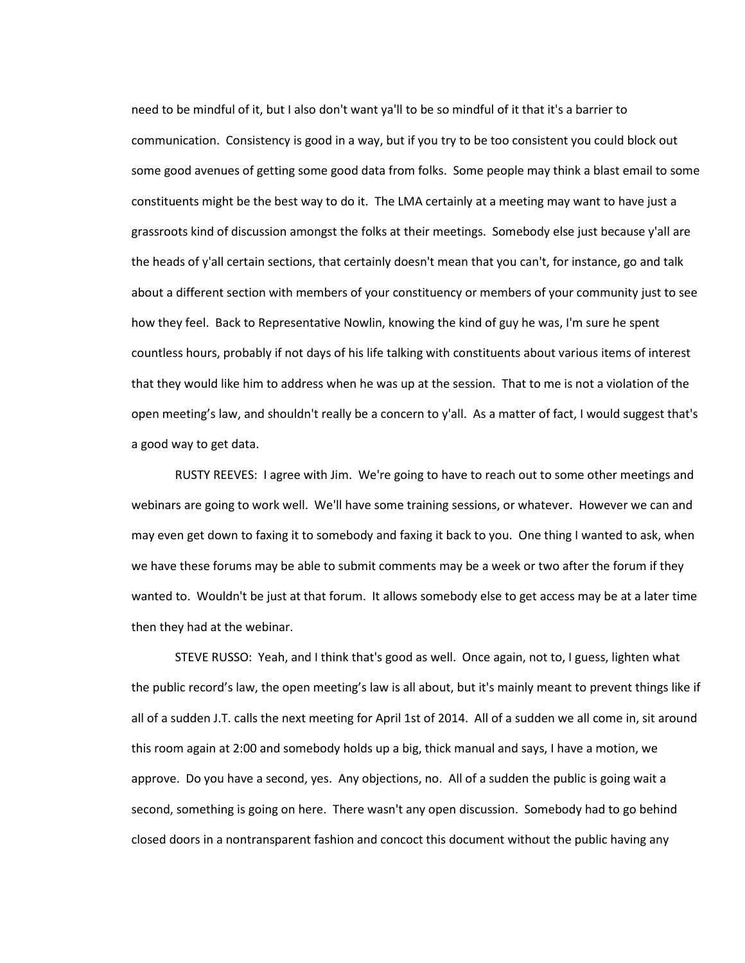need to be mindful of it, but I also don't want ya'll to be so mindful of it that it's a barrier to communication. Consistency is good in a way, but if you try to be too consistent you could block out some good avenues of getting some good data from folks. Some people may think a blast email to some constituents might be the best way to do it. The LMA certainly at a meeting may want to have just a grassroots kind of discussion amongst the folks at their meetings. Somebody else just because y'all are the heads of y'all certain sections, that certainly doesn't mean that you can't, for instance, go and talk about a different section with members of your constituency or members of your community just to see how they feel. Back to Representative Nowlin, knowing the kind of guy he was, I'm sure he spent countless hours, probably if not days of his life talking with constituents about various items of interest that they would like him to address when he was up at the session. That to me is not a violation of the open meeting's law, and shouldn't really be a concern to y'all. As a matter of fact, I would suggest that's a good way to get data.

RUSTY REEVES: I agree with Jim. We're going to have to reach out to some other meetings and webinars are going to work well. We'll have some training sessions, or whatever. However we can and may even get down to faxing it to somebody and faxing it back to you. One thing I wanted to ask, when we have these forums may be able to submit comments may be a week or two after the forum if they wanted to. Wouldn't be just at that forum. It allows somebody else to get access may be at a later time then they had at the webinar.

STEVE RUSSO: Yeah, and I think that's good as well. Once again, not to, I guess, lighten what the public record's law, the open meeting's law is all about, but it's mainly meant to prevent things like if all of a sudden J.T. calls the next meeting for April 1st of 2014. All of a sudden we all come in, sit around this room again at 2:00 and somebody holds up a big, thick manual and says, I have a motion, we approve. Do you have a second, yes. Any objections, no. All of a sudden the public is going wait a second, something is going on here. There wasn't any open discussion. Somebody had to go behind closed doors in a nontransparent fashion and concoct this document without the public having any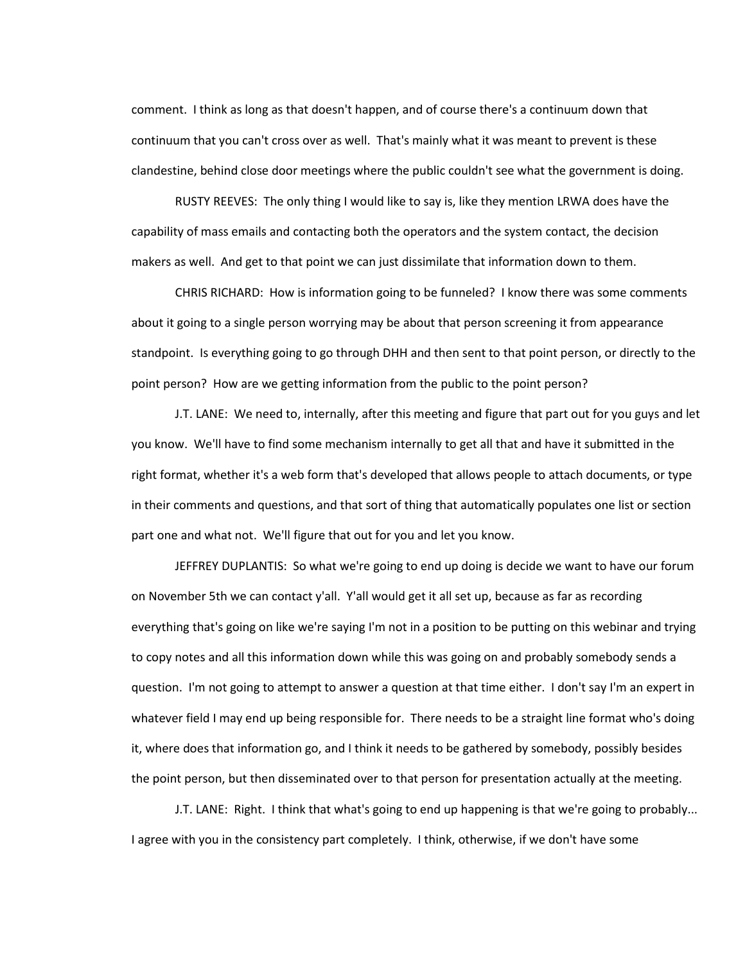comment. I think as long as that doesn't happen, and of course there's a continuum down that continuum that you can't cross over as well. That's mainly what it was meant to prevent is these clandestine, behind close door meetings where the public couldn't see what the government is doing.

RUSTY REEVES: The only thing I would like to say is, like they mention LRWA does have the capability of mass emails and contacting both the operators and the system contact, the decision makers as well. And get to that point we can just dissimilate that information down to them.

CHRIS RICHARD: How is information going to be funneled? I know there was some comments about it going to a single person worrying may be about that person screening it from appearance standpoint. Is everything going to go through DHH and then sent to that point person, or directly to the point person? How are we getting information from the public to the point person?

J.T. LANE: We need to, internally, after this meeting and figure that part out for you guys and let you know. We'll have to find some mechanism internally to get all that and have it submitted in the right format, whether it's a web form that's developed that allows people to attach documents, or type in their comments and questions, and that sort of thing that automatically populates one list or section part one and what not. We'll figure that out for you and let you know.

JEFFREY DUPLANTIS: So what we're going to end up doing is decide we want to have our forum on November 5th we can contact y'all. Y'all would get it all set up, because as far as recording everything that's going on like we're saying I'm not in a position to be putting on this webinar and trying to copy notes and all this information down while this was going on and probably somebody sends a question. I'm not going to attempt to answer a question at that time either. I don't say I'm an expert in whatever field I may end up being responsible for. There needs to be a straight line format who's doing it, where does that information go, and I think it needs to be gathered by somebody, possibly besides the point person, but then disseminated over to that person for presentation actually at the meeting.

J.T. LANE: Right. I think that what's going to end up happening is that we're going to probably... I agree with you in the consistency part completely. I think, otherwise, if we don't have some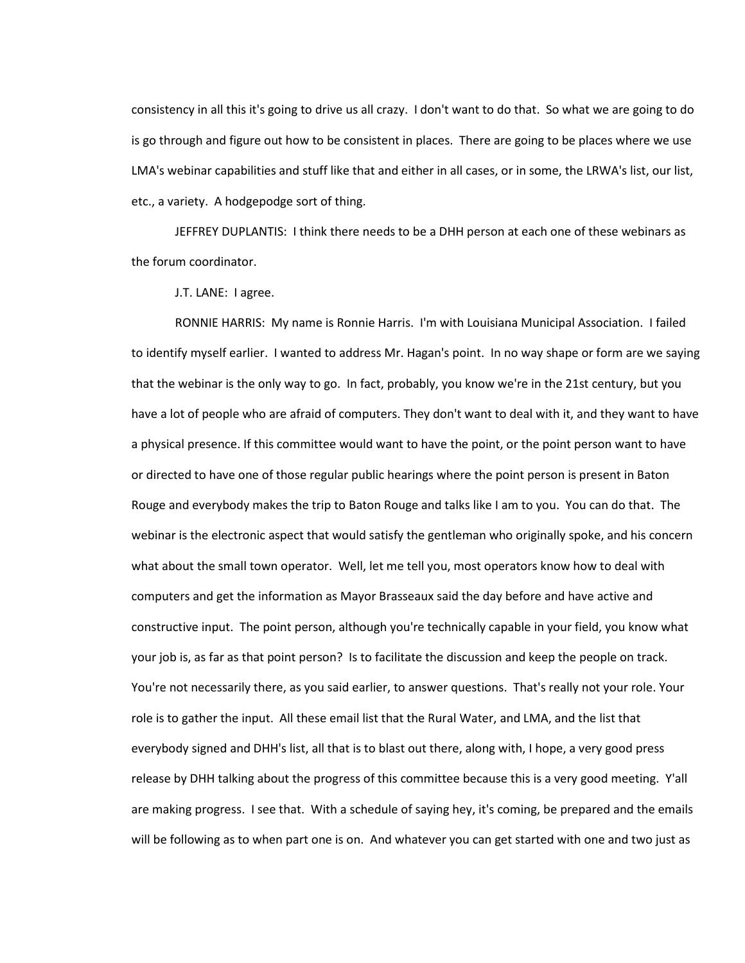consistency in all this it's going to drive us all crazy. I don't want to do that. So what we are going to do is go through and figure out how to be consistent in places. There are going to be places where we use LMA's webinar capabilities and stuff like that and either in all cases, or in some, the LRWA's list, our list, etc., a variety. A hodgepodge sort of thing.

JEFFREY DUPLANTIS: I think there needs to be a DHH person at each one of these webinars as the forum coordinator.

J.T. LANE: I agree.

RONNIE HARRIS: My name is Ronnie Harris. I'm with Louisiana Municipal Association. I failed to identify myself earlier. I wanted to address Mr. Hagan's point. In no way shape or form are we saying that the webinar is the only way to go. In fact, probably, you know we're in the 21st century, but you have a lot of people who are afraid of computers. They don't want to deal with it, and they want to have a physical presence. If this committee would want to have the point, or the point person want to have or directed to have one of those regular public hearings where the point person is present in Baton Rouge and everybody makes the trip to Baton Rouge and talks like I am to you. You can do that. The webinar is the electronic aspect that would satisfy the gentleman who originally spoke, and his concern what about the small town operator. Well, let me tell you, most operators know how to deal with computers and get the information as Mayor Brasseaux said the day before and have active and constructive input. The point person, although you're technically capable in your field, you know what your job is, as far as that point person? Is to facilitate the discussion and keep the people on track. You're not necessarily there, as you said earlier, to answer questions. That's really not your role. Your role is to gather the input. All these email list that the Rural Water, and LMA, and the list that everybody signed and DHH's list, all that is to blast out there, along with, I hope, a very good press release by DHH talking about the progress of this committee because this is a very good meeting. Y'all are making progress. I see that. With a schedule of saying hey, it's coming, be prepared and the emails will be following as to when part one is on. And whatever you can get started with one and two just as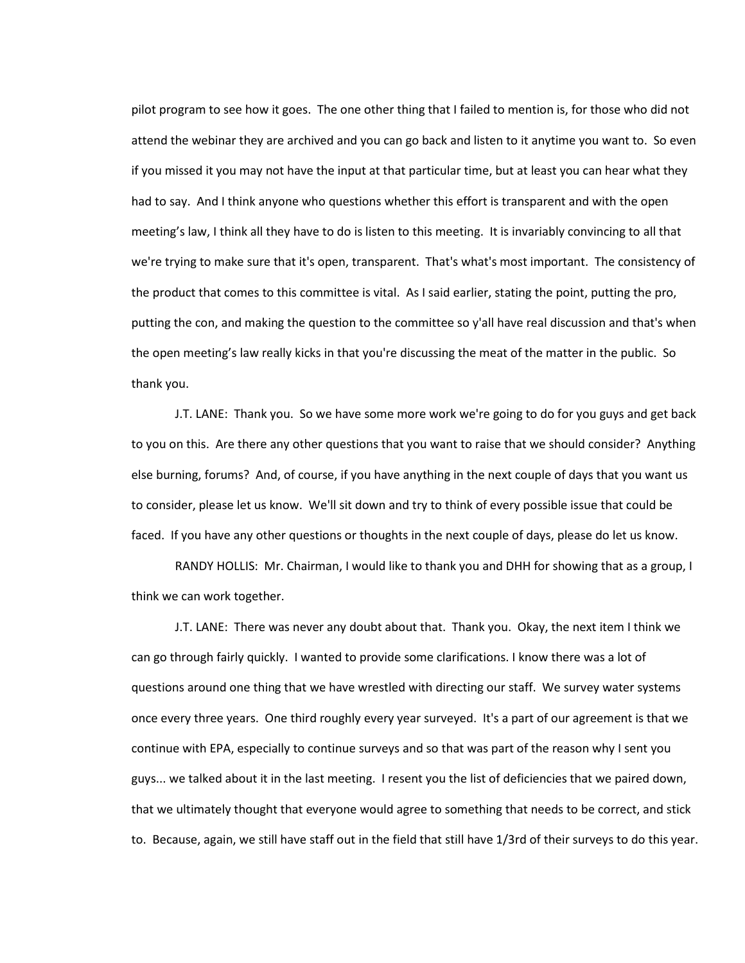pilot program to see how it goes. The one other thing that I failed to mention is, for those who did not attend the webinar they are archived and you can go back and listen to it anytime you want to. So even if you missed it you may not have the input at that particular time, but at least you can hear what they had to say. And I think anyone who questions whether this effort is transparent and with the open meeting's law, I think all they have to do is listen to this meeting. It is invariably convincing to all that we're trying to make sure that it's open, transparent. That's what's most important. The consistency of the product that comes to this committee is vital. As I said earlier, stating the point, putting the pro, putting the con, and making the question to the committee so y'all have real discussion and that's when the open meeting's law really kicks in that you're discussing the meat of the matter in the public. So thank you.

J.T. LANE: Thank you. So we have some more work we're going to do for you guys and get back to you on this. Are there any other questions that you want to raise that we should consider? Anything else burning, forums? And, of course, if you have anything in the next couple of days that you want us to consider, please let us know. We'll sit down and try to think of every possible issue that could be faced. If you have any other questions or thoughts in the next couple of days, please do let us know.

RANDY HOLLIS: Mr. Chairman, I would like to thank you and DHH for showing that as a group, I think we can work together.

J.T. LANE: There was never any doubt about that. Thank you. Okay, the next item I think we can go through fairly quickly. I wanted to provide some clarifications. I know there was a lot of questions around one thing that we have wrestled with directing our staff. We survey water systems once every three years. One third roughly every year surveyed. It's a part of our agreement is that we continue with EPA, especially to continue surveys and so that was part of the reason why I sent you guys... we talked about it in the last meeting. I resent you the list of deficiencies that we paired down, that we ultimately thought that everyone would agree to something that needs to be correct, and stick to. Because, again, we still have staff out in the field that still have 1/3rd of their surveys to do this year.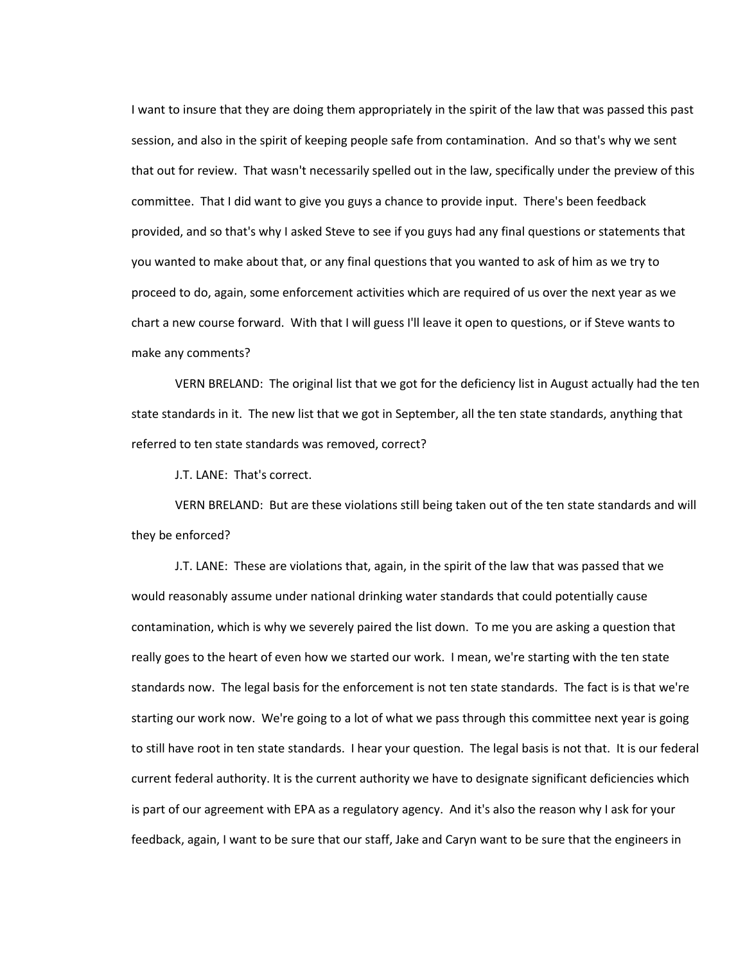I want to insure that they are doing them appropriately in the spirit of the law that was passed this past session, and also in the spirit of keeping people safe from contamination. And so that's why we sent that out for review. That wasn't necessarily spelled out in the law, specifically under the preview of this committee. That I did want to give you guys a chance to provide input. There's been feedback provided, and so that's why I asked Steve to see if you guys had any final questions or statements that you wanted to make about that, or any final questions that you wanted to ask of him as we try to proceed to do, again, some enforcement activities which are required of us over the next year as we chart a new course forward. With that I will guess I'll leave it open to questions, or if Steve wants to make any comments?

VERN BRELAND: The original list that we got for the deficiency list in August actually had the ten state standards in it. The new list that we got in September, all the ten state standards, anything that referred to ten state standards was removed, correct?

J.T. LANE: That's correct.

VERN BRELAND: But are these violations still being taken out of the ten state standards and will they be enforced?

J.T. LANE: These are violations that, again, in the spirit of the law that was passed that we would reasonably assume under national drinking water standards that could potentially cause contamination, which is why we severely paired the list down. To me you are asking a question that really goes to the heart of even how we started our work. I mean, we're starting with the ten state standards now. The legal basis for the enforcement is not ten state standards. The fact is is that we're starting our work now. We're going to a lot of what we pass through this committee next year is going to still have root in ten state standards. I hear your question. The legal basis is not that. It is our federal current federal authority. It is the current authority we have to designate significant deficiencies which is part of our agreement with EPA as a regulatory agency. And it's also the reason why I ask for your feedback, again, I want to be sure that our staff, Jake and Caryn want to be sure that the engineers in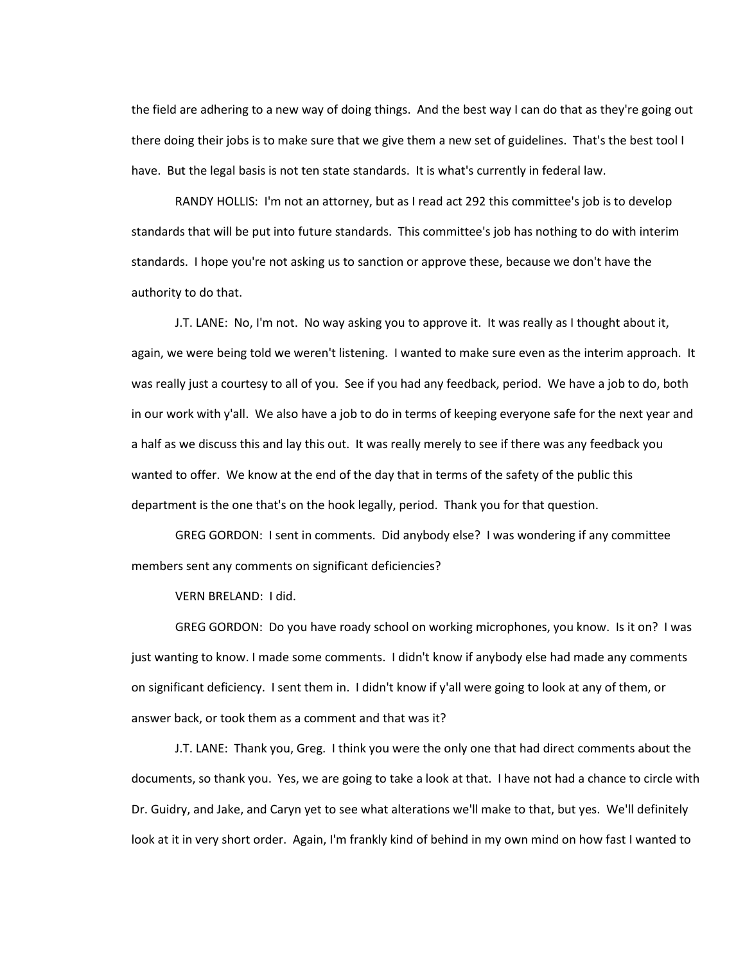the field are adhering to a new way of doing things. And the best way I can do that as they're going out there doing their jobs is to make sure that we give them a new set of guidelines. That's the best tool I have. But the legal basis is not ten state standards. It is what's currently in federal law.

RANDY HOLLIS: I'm not an attorney, but as I read act 292 this committee's job is to develop standards that will be put into future standards. This committee's job has nothing to do with interim standards. I hope you're not asking us to sanction or approve these, because we don't have the authority to do that.

J.T. LANE: No, I'm not. No way asking you to approve it. It was really as I thought about it, again, we were being told we weren't listening. I wanted to make sure even as the interim approach. It was really just a courtesy to all of you. See if you had any feedback, period. We have a job to do, both in our work with y'all. We also have a job to do in terms of keeping everyone safe for the next year and a half as we discuss this and lay this out. It was really merely to see if there was any feedback you wanted to offer. We know at the end of the day that in terms of the safety of the public this department is the one that's on the hook legally, period. Thank you for that question.

GREG GORDON: I sent in comments. Did anybody else? I was wondering if any committee members sent any comments on significant deficiencies?

VERN BRELAND: I did.

GREG GORDON: Do you have roady school on working microphones, you know. Is it on? I was just wanting to know. I made some comments. I didn't know if anybody else had made any comments on significant deficiency. I sent them in. I didn't know if y'all were going to look at any of them, or answer back, or took them as a comment and that was it?

J.T. LANE: Thank you, Greg. I think you were the only one that had direct comments about the documents, so thank you. Yes, we are going to take a look at that. I have not had a chance to circle with Dr. Guidry, and Jake, and Caryn yet to see what alterations we'll make to that, but yes. We'll definitely look at it in very short order. Again, I'm frankly kind of behind in my own mind on how fast I wanted to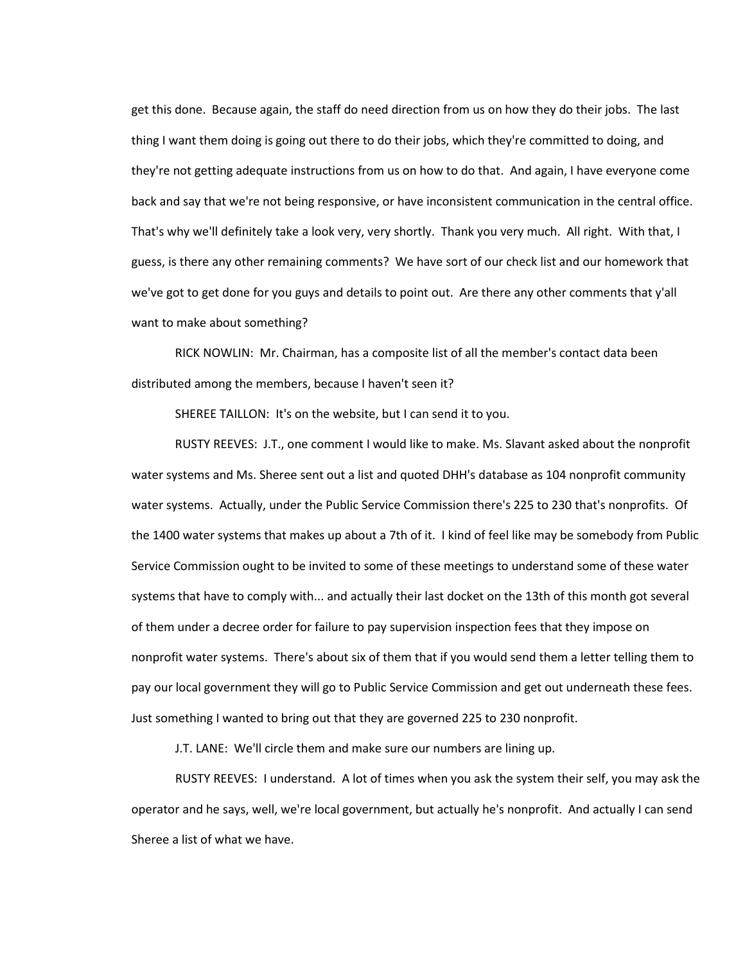get this done. Because again, the staff do need direction from us on how they do their jobs. The last thing I want them doing is going out there to do their jobs, which they're committed to doing, and they're not getting adequate instructions from us on how to do that. And again, I have everyone come back and say that we're not being responsive, or have inconsistent communication in the central office. That's why we'll definitely take a look very, very shortly. Thank you very much. All right. With that, I guess, is there any other remaining comments? We have sort of our check list and our homework that we've got to get done for you guys and details to point out. Are there any other comments that y'all want to make about something?

RICK NOWLIN: Mr. Chairman, has a composite list of all the member's contact data been distributed among the members, because I haven't seen it?

SHEREE TAILLON: It's on the website, but I can send it to you.

RUSTY REEVES: J.T., one comment I would like to make. Ms. Slavant asked about the nonprofit water systems and Ms. Sheree sent out a list and quoted DHH's database as 104 nonprofit community water systems. Actually, under the Public Service Commission there's 225 to 230 that's nonprofits. Of the 1400 water systems that makes up about a 7th of it. I kind of feel like may be somebody from Public Service Commission ought to be invited to some of these meetings to understand some of these water systems that have to comply with... and actually their last docket on the 13th of this month got several of them under a decree order for failure to pay supervision inspection fees that they impose on nonprofit water systems. There's about six of them that if you would send them a letter telling them to pay our local government they will go to Public Service Commission and get out underneath these fees. Just something I wanted to bring out that they are governed 225 to 230 nonprofit.

J.T. LANE: We'll circle them and make sure our numbers are lining up.

RUSTY REEVES: I understand. A lot of times when you ask the system their self, you may ask the operator and he says, well, we're local government, but actually he's nonprofit. And actually I can send Sheree a list of what we have.